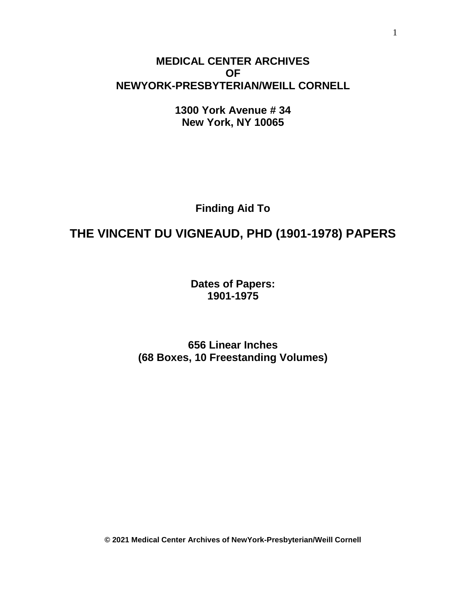# **MEDICAL CENTER ARCHIVES OF NEWYORK-PRESBYTERIAN/WEILL CORNELL**

**1300 York Avenue # 34 New York, NY 10065**

**Finding Aid To**

# **THE VINCENT DU VIGNEAUD, PHD (1901-1978) PAPERS**

**Dates of Papers: 1901-1975**

**656 Linear Inches (68 Boxes, 10 Freestanding Volumes)**

**© 2021 Medical Center Archives of NewYork-Presbyterian/Weill Cornell**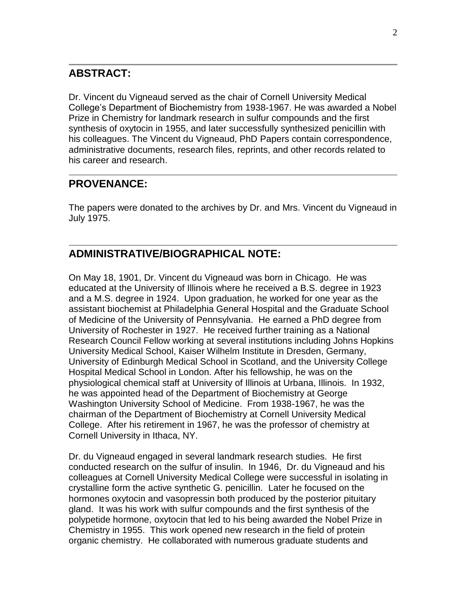# **ABSTRACT:**

Dr. Vincent du Vigneaud served as the chair of Cornell University Medical College's Department of Biochemistry from 1938-1967. He was awarded a Nobel Prize in Chemistry for landmark research in sulfur compounds and the first synthesis of oxytocin in 1955, and later successfully synthesized penicillin with his colleagues. The Vincent du Vigneaud, PhD Papers contain correspondence, administrative documents, research files, reprints, and other records related to his career and research.

# **PROVENANCE:**

The papers were donated to the archives by Dr. and Mrs. Vincent du Vigneaud in July 1975.

# **ADMINISTRATIVE/BIOGRAPHICAL NOTE:**

On May 18, 1901, Dr. Vincent du Vigneaud was born in Chicago. He was educated at the University of Illinois where he received a B.S. degree in 1923 and a M.S. degree in 1924. Upon graduation, he worked for one year as the assistant biochemist at Philadelphia General Hospital and the Graduate School of Medicine of the University of Pennsylvania. He earned a PhD degree from University of Rochester in 1927. He received further training as a National Research Council Fellow working at several institutions including Johns Hopkins University Medical School, Kaiser Wilhelm Institute in Dresden, Germany, University of Edinburgh Medical School in Scotland, and the University College Hospital Medical School in London. After his fellowship, he was on the physiological chemical staff at University of Illinois at Urbana, Illinois. In 1932, he was appointed head of the Department of Biochemistry at George Washington University School of Medicine. From 1938-1967, he was the chairman of the Department of Biochemistry at Cornell University Medical College. After his retirement in 1967, he was the professor of chemistry at Cornell University in Ithaca, NY.

Dr. du Vigneaud engaged in several landmark research studies. He first conducted research on the sulfur of insulin. In 1946, Dr. du Vigneaud and his colleagues at Cornell University Medical College were successful in isolating in crystalline form the active synthetic G. penicillin. Later he focused on the hormones oxytocin and vasopressin both produced by the posterior pituitary gland. It was his work with sulfur compounds and the first synthesis of the polypetide hormone, oxytocin that led to his being awarded the Nobel Prize in Chemistry in 1955. This work opened new research in the field of protein organic chemistry. He collaborated with numerous graduate students and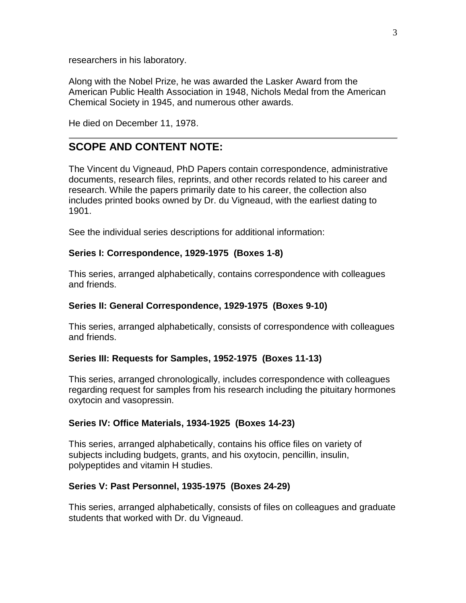researchers in his laboratory.

Along with the Nobel Prize, he was awarded the Lasker Award from the American Public Health Association in 1948, Nichols Medal from the American Chemical Society in 1945, and numerous other awards.

He died on December 11, 1978.

# **SCOPE AND CONTENT NOTE:**

The Vincent du Vigneaud, PhD Papers contain correspondence, administrative documents, research files, reprints, and other records related to his career and research. While the papers primarily date to his career, the collection also includes printed books owned by Dr. du Vigneaud, with the earliest dating to 1901.

See the individual series descriptions for additional information:

## **Series I: Correspondence, 1929-1975 (Boxes 1-8)**

This series, arranged alphabetically, contains correspondence with colleagues and friends.

### **Series II: General Correspondence, 1929-1975 (Boxes 9-10)**

This series, arranged alphabetically, consists of correspondence with colleagues and friends.

## **Series III: Requests for Samples, 1952-1975 (Boxes 11-13)**

This series, arranged chronologically, includes correspondence with colleagues regarding request for samples from his research including the pituitary hormones oxytocin and vasopressin.

## **Series IV: Office Materials, 1934-1925 (Boxes 14-23)**

This series, arranged alphabetically, contains his office files on variety of subjects including budgets, grants, and his oxytocin, pencillin, insulin, polypeptides and vitamin H studies.

## **Series V: Past Personnel, 1935-1975 (Boxes 24-29)**

This series, arranged alphabetically, consists of files on colleagues and graduate students that worked with Dr. du Vigneaud.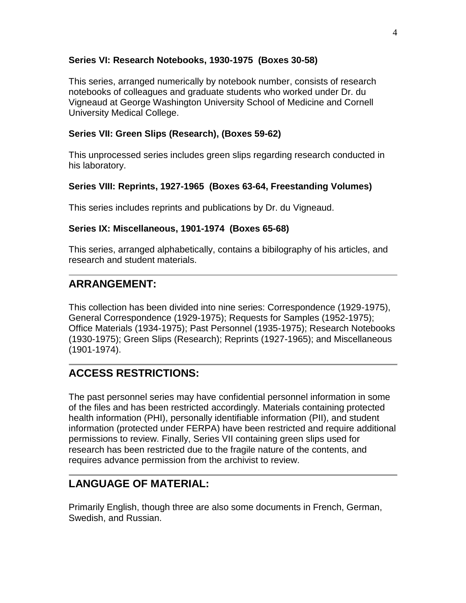## **Series VI: Research Notebooks, 1930-1975 (Boxes 30-58)**

This series, arranged numerically by notebook number, consists of research notebooks of colleagues and graduate students who worked under Dr. du Vigneaud at George Washington University School of Medicine and Cornell University Medical College.

### **Series VII: Green Slips (Research), (Boxes 59-62)**

This unprocessed series includes green slips regarding research conducted in his laboratory.

### **Series VIII: Reprints, 1927-1965 (Boxes 63-64, Freestanding Volumes)**

This series includes reprints and publications by Dr. du Vigneaud.

### **Series IX: Miscellaneous, 1901-1974 (Boxes 65-68)**

This series, arranged alphabetically, contains a bibilography of his articles, and research and student materials.

# **ARRANGEMENT:**

This collection has been divided into nine series: Correspondence (1929-1975), General Correspondence (1929-1975); Requests for Samples (1952-1975); Office Materials (1934-1975); Past Personnel (1935-1975); Research Notebooks (1930-1975); Green Slips (Research); Reprints (1927-1965); and Miscellaneous (1901-1974).

# **ACCESS RESTRICTIONS:**

The past personnel series may have confidential personnel information in some of the files and has been restricted accordingly. Materials containing protected health information (PHI), personally identifiable information (PII), and student information (protected under FERPA) have been restricted and require additional permissions to review. Finally, Series VII containing green slips used for research has been restricted due to the fragile nature of the contents, and requires advance permission from the archivist to review.

# **LANGUAGE OF MATERIAL:**

Primarily English, though three are also some documents in French, German, Swedish, and Russian.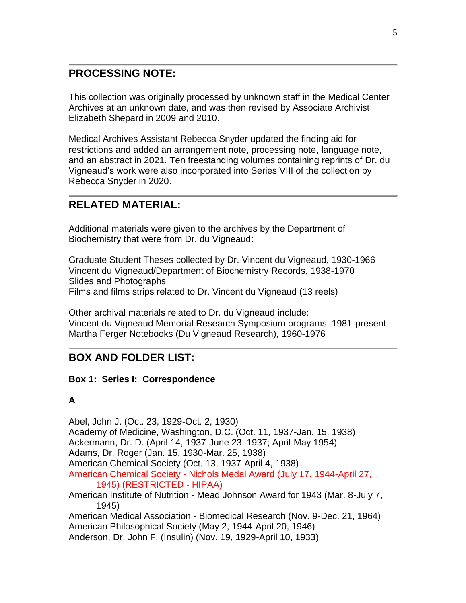# **PROCESSING NOTE:**

This collection was originally processed by unknown staff in the Medical Center Archives at an unknown date, and was then revised by Associate Archivist Elizabeth Shepard in 2009 and 2010.

Medical Archives Assistant Rebecca Snyder updated the finding aid for restrictions and added an arrangement note, processing note, language note, and an abstract in 2021. Ten freestanding volumes containing reprints of Dr. du Vigneaud's work were also incorporated into Series VIII of the collection by Rebecca Snyder in 2020.

# **RELATED MATERIAL:**

Additional materials were given to the archives by the Department of Biochemistry that were from Dr. du Vigneaud:

Graduate Student Theses collected by Dr. Vincent du Vigneaud, 1930-1966 Vincent du Vigneaud/Department of Biochemistry Records, 1938-1970 Slides and Photographs Films and films strips related to Dr. Vincent du Vigneaud (13 reels)

Other archival materials related to Dr. du Vigneaud include: Vincent du Vigneaud Memorial Research Symposium programs, 1981-present Martha Ferger Notebooks (Du Vigneaud Research), 1960-1976

# **BOX AND FOLDER LIST:**

## **Box 1: Series I: Correspondence**

## **A**

Abel, John J. (Oct. 23, 1929-Oct. 2, 1930) Academy of Medicine, Washington, D.C. (Oct. 11, 1937-Jan. 15, 1938) Ackermann, Dr. D. (April 14, 1937-June 23, 1937; April-May 1954) Adams, Dr. Roger (Jan. 15, 1930-Mar. 25, 1938) American Chemical Society (Oct. 13, 1937-April 4, 1938) American Chemical Society - Nichols Medal Award (July 17, 1944-April 27, 1945) (RESTRICTED - HIPAA) American Institute of Nutrition - Mead Johnson Award for 1943 (Mar. 8-July 7, 1945) American Medical Association - Biomedical Research (Nov. 9-Dec. 21, 1964) American Philosophical Society (May 2, 1944-April 20, 1946) Anderson, Dr. John F. (Insulin) (Nov. 19, 1929-April 10, 1933)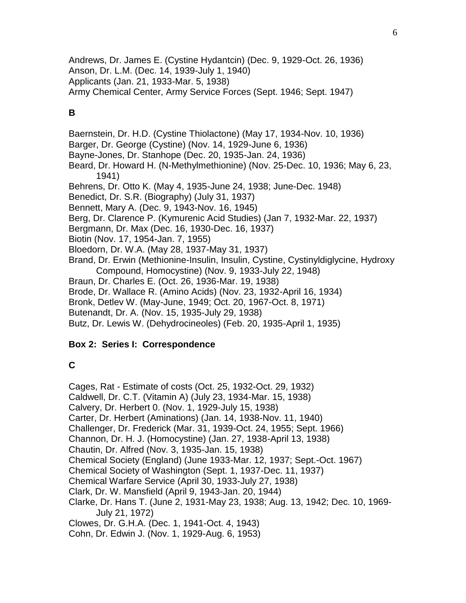Andrews, Dr. James E. (Cystine Hydantcin) (Dec. 9, 1929-Oct. 26, 1936) Anson, Dr. L.M. (Dec. 14, 1939-July 1, 1940) Applicants (Jan. 21, 1933-Mar. 5, 1938) Army Chemical Center, Army Service Forces (Sept. 1946; Sept. 1947)

# **B**

Baernstein, Dr. H.D. (Cystine Thiolactone) (May 17, 1934-Nov. 10, 1936) Barger, Dr. George (Cystine) (Nov. 14, 1929-June 6, 1936) Bayne-Jones, Dr. Stanhope (Dec. 20, 1935-Jan. 24, 1936) Beard, Dr. Howard H. (N-Methylmethionine) (Nov. 25-Dec. 10, 1936; May 6, 23, 1941) Behrens, Dr. Otto K. (May 4, 1935-June 24, 1938; June-Dec. 1948) Benedict, Dr. S.R. (Biography) (July 31, 1937) Bennett, Mary A. (Dec. 9, 1943-Nov. 16, 1945) Berg, Dr. Clarence P. (Kymurenic Acid Studies) (Jan 7, 1932-Mar. 22, 1937) Bergmann, Dr. Max (Dec. 16, 1930-Dec. 16, 1937) Biotin (Nov. 17, 1954-Jan. 7, 1955) Bloedorn, Dr. W.A. (May 28, 1937-May 31, 1937) Brand, Dr. Erwin (Methionine-Insulin, Insulin, Cystine, Cystinyldiglycine, Hydroxy Compound, Homocystine) (Nov. 9, 1933-July 22, 1948) Braun, Dr. Charles E. (Oct. 26, 1936-Mar. 19, 1938) Brode, Dr. Wallace R. (Amino Acids) (Nov. 23, 1932-April 16, 1934) Bronk, Detlev W. (May-June, 1949; Oct. 20, 1967-Oct. 8, 1971) Butenandt, Dr. A. (Nov. 15, 1935-July 29, 1938) Butz, Dr. Lewis W. (Dehydrocineoles) (Feb. 20, 1935-April 1, 1935)

## **Box 2: Series I: Correspondence**

# **C**

Cages, Rat - Estimate of costs (Oct. 25, 1932-Oct. 29, 1932) Caldwell, Dr. C.T. (Vitamin A) (July 23, 1934-Mar. 15, 1938) Calvery, Dr. Herbert 0. (Nov. 1, 1929-July 15, 1938) Carter, Dr. Herbert (Aminations) (Jan. 14, 1938-Nov. 11, 1940) Challenger, Dr. Frederick (Mar. 31, 1939-Oct. 24, 1955; Sept. 1966) Channon, Dr. H. J. (Homocystine) (Jan. 27, 1938-April 13, 1938) Chautin, Dr. Alfred (Nov. 3, 1935-Jan. 15, 1938) Chemical Society (England) (June 1933-Mar. 12, 1937; Sept.-Oct. 1967) Chemical Society of Washington (Sept. 1, 1937-Dec. 11, 1937) Chemical Warfare Service (April 30, 1933-July 27, 1938) Clark, Dr. W. Mansfield (April 9, 1943-Jan. 20, 1944) Clarke, Dr. Hans T. (June 2, 1931-May 23, 1938; Aug. 13, 1942; Dec. 10, 1969- July 21, 1972) Clowes, Dr. G.H.A. (Dec. 1, 1941-Oct. 4, 1943) Cohn, Dr. Edwin J. (Nov. 1, 1929-Aug. 6, 1953)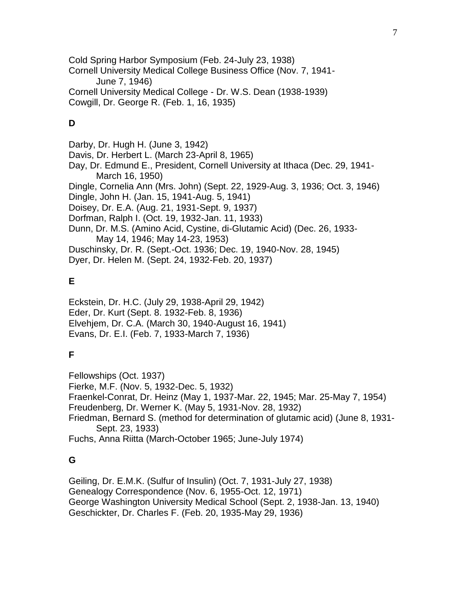Cold Spring Harbor Symposium (Feb. 24-July 23, 1938) Cornell University Medical College Business Office (Nov. 7, 1941- June 7, 1946) Cornell University Medical College - Dr. W.S. Dean (1938-1939) Cowgill, Dr. George R. (Feb. 1, 16, 1935)

## **D**

Darby, Dr. Hugh H. (June 3, 1942) Davis, Dr. Herbert L. (March 23-April 8, 1965) Day, Dr. Edmund E., President, Cornell University at Ithaca (Dec. 29, 1941- March 16, 1950) Dingle, Cornelia Ann (Mrs. John) (Sept. 22, 1929-Aug. 3, 1936; Oct. 3, 1946) Dingle, John H. (Jan. 15, 1941-Aug. 5, 1941) Doisey, Dr. E.A. (Aug. 21, 1931-Sept. 9, 1937) Dorfman, Ralph I. (Oct. 19, 1932-Jan. 11, 1933) Dunn, Dr. M.S. (Amino Acid, Cystine, di-Glutamic Acid) (Dec. 26, 1933- May 14, 1946; May 14-23, 1953) Duschinsky, Dr. R. (Sept.-Oct. 1936; Dec. 19, 1940-Nov. 28, 1945) Dyer, Dr. Helen M. (Sept. 24, 1932-Feb. 20, 1937)

# **E**

Eckstein, Dr. H.C. (July 29, 1938-April 29, 1942) Eder, Dr. Kurt (Sept. 8. 1932-Feb. 8, 1936) Elvehjem, Dr. C.A. (March 30, 1940-August 16, 1941) Evans, Dr. E.I. (Feb. 7, 1933-March 7, 1936)

# **F**

Fellowships (Oct. 1937) Fierke, M.F. (Nov. 5, 1932-Dec. 5, 1932) Fraenkel-Conrat, Dr. Heinz (May 1, 1937-Mar. 22, 1945; Mar. 25-May 7, 1954) Freudenberg, Dr. Werner K. (May 5, 1931-Nov. 28, 1932) Friedman, Bernard S. (method for determination of glutamic acid) (June 8, 1931- Sept. 23, 1933) Fuchs, Anna Riitta (March-October 1965; June-July 1974)

# **G**

Geiling, Dr. E.M.K. (Sulfur of Insulin) (Oct. 7, 1931-July 27, 1938) Genealogy Correspondence (Nov. 6, 1955-Oct. 12, 1971) George Washington University Medical School (Sept. 2, 1938-Jan. 13, 1940) Geschickter, Dr. Charles F. (Feb. 20, 1935-May 29, 1936)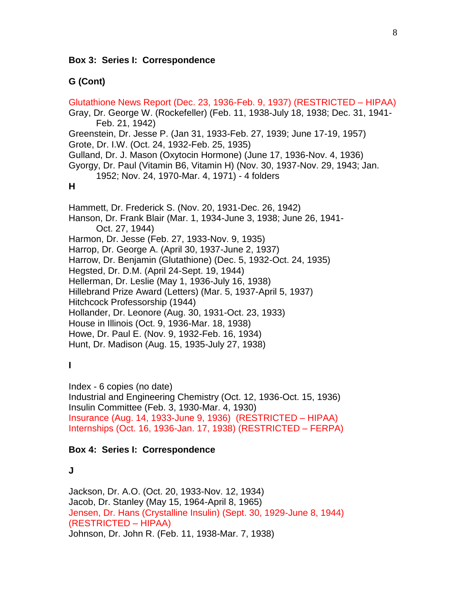### **Box 3: Series I: Correspondence**

### **G (Cont)**

Glutathione News Report (Dec. 23, 1936-Feb. 9, 1937) (RESTRICTED – HIPAA) Gray, Dr. George W. (Rockefeller) (Feb. 11, 1938-July 18, 1938; Dec. 31, 1941- Feb. 21, 1942) Greenstein, Dr. Jesse P. (Jan 31, 1933-Feb. 27, 1939; June 17-19, 1957) Grote, Dr. I.W. (Oct. 24, 1932-Feb. 25, 1935) Gulland, Dr. J. Mason (Oxytocin Hormone) (June 17, 1936-Nov. 4, 1936) Gyorgy, Dr. Paul (Vitamin B6, Vitamin H) (Nov. 30, 1937-Nov. 29, 1943; Jan. 1952; Nov. 24, 1970-Mar. 4, 1971) - 4 folders **H** Hammett, Dr. Frederick S. (Nov. 20, 1931-Dec. 26, 1942) Hanson, Dr. Frank Blair (Mar. 1, 1934-June 3, 1938; June 26, 1941- Oct. 27, 1944) Harmon, Dr. Jesse (Feb. 27, 1933-Nov. 9, 1935) Harrop, Dr. George A. (April 30, 1937-June 2, 1937) Harrow, Dr. Benjamin (Glutathione) (Dec. 5, 1932-Oct. 24, 1935) Hegsted, Dr. D.M. (April 24-Sept. 19, 1944) Hellerman, Dr. Leslie (May 1, 1936-July 16, 1938) Hillebrand Prize Award (Letters) (Mar. 5, 1937-April 5, 1937) Hitchcock Professorship (1944) Hollander, Dr. Leonore (Aug. 30, 1931-Oct. 23, 1933) House in Illinois (Oct. 9, 1936-Mar. 18, 1938) Howe, Dr. Paul E. (Nov. 9, 1932-Feb. 16, 1934) Hunt, Dr. Madison (Aug. 15, 1935-July 27, 1938)

### **I**

Index - 6 copies (no date) Industrial and Engineering Chemistry (Oct. 12, 1936-Oct. 15, 1936) Insulin Committee (Feb. 3, 1930-Mar. 4, 1930) Insurance (Aug. 14, 1933-June 9, 1936) (RESTRICTED – HIPAA) Internships (Oct. 16, 1936-Jan. 17, 1938) (RESTRICTED – FERPA)

### **Box 4: Series I: Correspondence**

**J**

Jackson, Dr. A.O. (Oct. 20, 1933-Nov. 12, 1934) Jacob, Dr. Stanley (May 15, 1964-April 8, 1965) Jensen, Dr. Hans (Crystalline Insulin) (Sept. 30, 1929-June 8, 1944) (RESTRICTED – HIPAA) Johnson, Dr. John R. (Feb. 11, 1938-Mar. 7, 1938)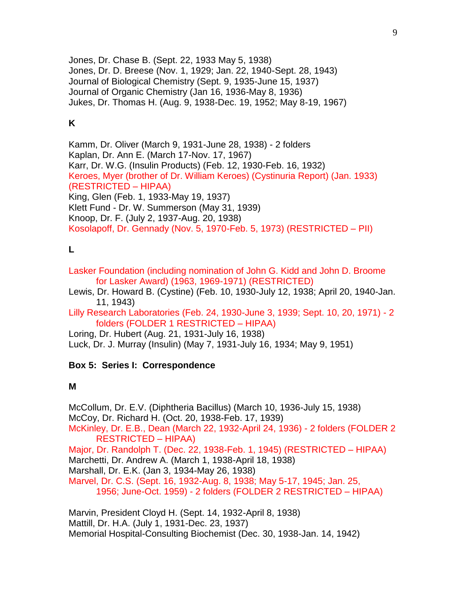Jones, Dr. Chase B. (Sept. 22, 1933 May 5, 1938) Jones, Dr. D. Breese (Nov. 1, 1929; Jan. 22, 1940-Sept. 28, 1943) Journal of Biological Chemistry (Sept. 9, 1935-June 15, 1937) Journal of Organic Chemistry (Jan 16, 1936-May 8, 1936) Jukes, Dr. Thomas H. (Aug. 9, 1938-Dec. 19, 1952; May 8-19, 1967)

# **K**

Kamm, Dr. Oliver (March 9, 1931-June 28, 1938) - 2 folders Kaplan, Dr. Ann E. (March 17-Nov. 17, 1967) Karr, Dr. W.G. (Insulin Products) (Feb. 12, 1930-Feb. 16, 1932) Keroes, Myer (brother of Dr. William Keroes) (Cystinuria Report) (Jan. 1933) (RESTRICTED – HIPAA) King, Glen (Feb. 1, 1933-May 19, 1937) Klett Fund - Dr. W. Summerson (May 31, 1939) Knoop, Dr. F. (July 2, 1937-Aug. 20, 1938) Kosolapoff, Dr. Gennady (Nov. 5, 1970-Feb. 5, 1973) (RESTRICTED – PII)

# **L**

Lasker Foundation (including nomination of John G. Kidd and John D. Broome for Lasker Award) (1963, 1969-1971) (RESTRICTED)

Lewis, Dr. Howard B. (Cystine) (Feb. 10, 1930-July 12, 1938; April 20, 1940-Jan. 11, 1943)

Lilly Research Laboratories (Feb. 24, 1930-June 3, 1939; Sept. 10, 20, 1971) - 2 folders (FOLDER 1 RESTRICTED – HIPAA)

Loring, Dr. Hubert (Aug. 21, 1931-July 16, 1938) Luck, Dr. J. Murray (Insulin) (May 7, 1931-July 16, 1934; May 9, 1951)

## **Box 5: Series I: Correspondence**

## **M**

McCollum, Dr. E.V. (Diphtheria Bacillus) (March 10, 1936-July 15, 1938) McCoy, Dr. Richard H. (Oct. 20, 1938-Feb. 17, 1939) McKinley, Dr. E.B., Dean (March 22, 1932-April 24, 1936) - 2 folders (FOLDER 2 RESTRICTED – HIPAA) Major, Dr. Randolph T. (Dec. 22, 1938-Feb. 1, 1945) (RESTRICTED – HIPAA) Marchetti, Dr. Andrew A. (March 1, 1938-April 18, 1938) Marshall, Dr. E.K. (Jan 3, 1934-May 26, 1938) Marvel, Dr. C.S. (Sept. 16, 1932-Aug. 8, 1938; May 5-17, 1945; Jan. 25, 1956; June-Oct. 1959) - 2 folders (FOLDER 2 RESTRICTED – HIPAA)

Marvin, President Cloyd H. (Sept. 14, 1932-April 8, 1938) Mattill, Dr. H.A. (July 1, 1931-Dec. 23, 1937) Memorial Hospital-Consulting Biochemist (Dec. 30, 1938-Jan. 14, 1942)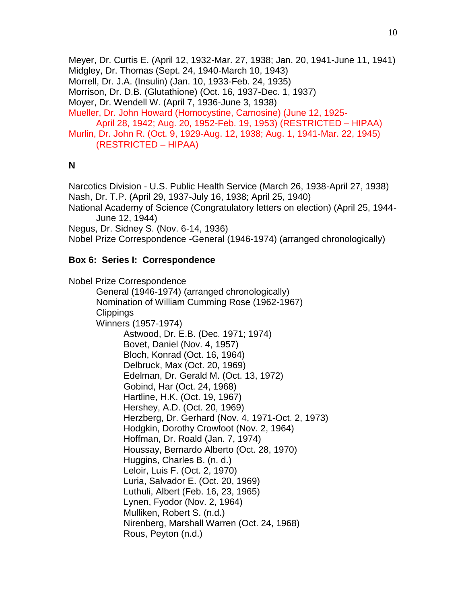Meyer, Dr. Curtis E. (April 12, 1932-Mar. 27, 1938; Jan. 20, 1941-June 11, 1941) Midgley, Dr. Thomas (Sept. 24, 1940-March 10, 1943) Morrell, Dr. J.A. (Insulin) (Jan. 10, 1933-Feb. 24, 1935) Morrison, Dr. D.B. (Glutathione) (Oct. 16, 1937-Dec. 1, 1937) Moyer, Dr. Wendell W. (April 7, 1936-June 3, 1938) Mueller, Dr. John Howard (Homocystine, Carnosine) (June 12, 1925- April 28, 1942; Aug. 20, 1952-Feb. 19, 1953) (RESTRICTED – HIPAA) Murlin, Dr. John R. (Oct. 9, 1929-Aug. 12, 1938; Aug. 1, 1941-Mar. 22, 1945) (RESTRICTED – HIPAA)

### **N**

Narcotics Division - U.S. Public Health Service (March 26, 1938-April 27, 1938) Nash, Dr. T.P. (April 29, 1937-July 16, 1938; April 25, 1940) National Academy of Science (Congratulatory letters on election) (April 25, 1944- June 12, 1944) Negus, Dr. Sidney S. (Nov. 6-14, 1936) Nobel Prize Correspondence -General (1946-1974) (arranged chronologically)

## **Box 6: Series I: Correspondence**

Nobel Prize Correspondence General (1946-1974) (arranged chronologically) Nomination of William Cumming Rose (1962-1967) **Clippings** Winners (1957-1974) Astwood, Dr. E.B. (Dec. 1971; 1974) Bovet, Daniel (Nov. 4, 1957) Bloch, Konrad (Oct. 16, 1964) Delbruck, Max (Oct. 20, 1969) Edelman, Dr. Gerald M. (Oct. 13, 1972) Gobind, Har (Oct. 24, 1968) Hartline, H.K. (Oct. 19, 1967) Hershey, A.D. (Oct. 20, 1969) Herzberg, Dr. Gerhard (Nov. 4, 1971-Oct. 2, 1973) Hodgkin, Dorothy Crowfoot (Nov. 2, 1964) Hoffman, Dr. Roald (Jan. 7, 1974) Houssay, Bernardo Alberto (Oct. 28, 1970) Huggins, Charles B. (n. d.) Leloir, Luis F. (Oct. 2, 1970) Luria, Salvador E. (Oct. 20, 1969) Luthuli, Albert (Feb. 16, 23, 1965) Lynen, Fyodor (Nov. 2, 1964) Mulliken, Robert S. (n.d.) Nirenberg, Marshall Warren (Oct. 24, 1968) Rous, Peyton (n.d.)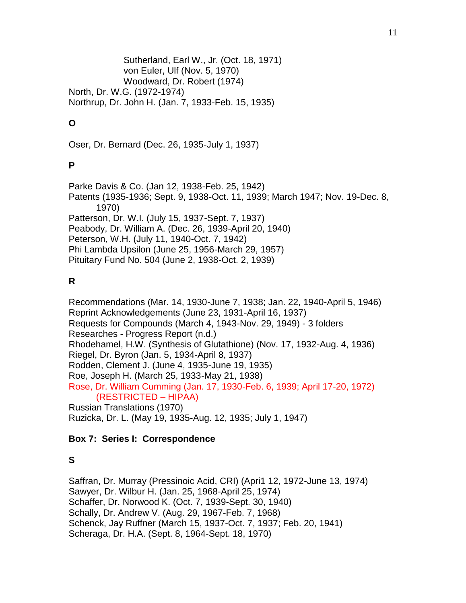Sutherland, Earl W., Jr. (Oct. 18, 1971) von Euler, Ulf (Nov. 5, 1970) Woodward, Dr. Robert (1974) North, Dr. W.G. (1972-1974) Northrup, Dr. John H. (Jan. 7, 1933-Feb. 15, 1935)

# **O**

Oser, Dr. Bernard (Dec. 26, 1935-July 1, 1937)

## **P**

Parke Davis & Co. (Jan 12, 1938-Feb. 25, 1942) Patents (1935-1936; Sept. 9, 1938-Oct. 11, 1939; March 1947; Nov. 19-Dec. 8, 1970) Patterson, Dr. W.I. (July 15, 1937-Sept. 7, 1937) Peabody, Dr. William A. (Dec. 26, 1939-April 20, 1940) Peterson, W.H. (July 11, 1940-Oct. 7, 1942) Phi Lambda Upsilon (June 25, 1956-March 29, 1957) Pituitary Fund No. 504 (June 2, 1938-Oct. 2, 1939)

## **R**

Recommendations (Mar. 14, 1930-June 7, 1938; Jan. 22, 1940-April 5, 1946) Reprint Acknowledgements (June 23, 1931-April 16, 1937) Requests for Compounds (March 4, 1943-Nov. 29, 1949) - 3 folders Researches - Progress Report (n.d.) Rhodehamel, H.W. (Synthesis of Glutathione) (Nov. 17, 1932-Aug. 4, 1936) Riegel, Dr. Byron (Jan. 5, 1934-April 8, 1937) Rodden, Clement J. (June 4, 1935-June 19, 1935) Roe, Joseph H. (March 25, 1933-May 21, 1938) Rose, Dr. William Cumming (Jan. 17, 1930-Feb. 6, 1939; April 17-20, 1972) (RESTRICTED – HIPAA) Russian Translations (1970) Ruzicka, Dr. L. (May 19, 1935-Aug. 12, 1935; July 1, 1947)

## **Box 7: Series I: Correspondence**

# **S**

Saffran, Dr. Murray (Pressinoic Acid, CRI) (Apri1 12, 1972-June 13, 1974) Sawyer, Dr. Wilbur H. (Jan. 25, 1968-April 25, 1974) Schaffer, Dr. Norwood K. (Oct. 7, 1939-Sept. 30, 1940) Schally, Dr. Andrew V. (Aug. 29, 1967-Feb. 7, 1968) Schenck, Jay Ruffner (March 15, 1937-Oct. 7, 1937; Feb. 20, 1941) Scheraga, Dr. H.A. (Sept. 8, 1964-Sept. 18, 1970)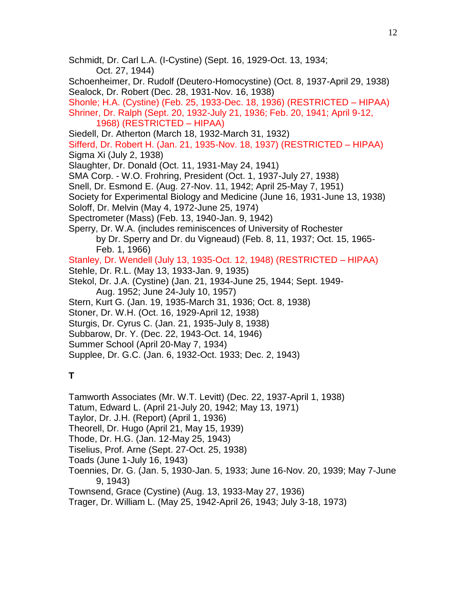- Schmidt, Dr. Carl L.A. (I-Cystine) (Sept. 16, 1929-Oct. 13, 1934; Oct. 27, 1944) Schoenheimer, Dr. Rudolf (Deutero-Homocystine) (Oct. 8, 1937-April 29, 1938) Sealock, Dr. Robert (Dec. 28, 1931-Nov. 16, 1938) Shonle; H.A. (Cystine) (Feb. 25, 1933-Dec. 18, 1936) (RESTRICTED – HIPAA) Shriner, Dr. Ralph (Sept. 20, 1932-July 21, 1936; Feb. 20, 1941; April 9-12, 1968) (RESTRICTED – HIPAA) Siedell, Dr. Atherton (March 18, 1932-March 31, 1932) Sifferd, Dr. Robert H. (Jan. 21, 1935-Nov. 18, 1937) (RESTRICTED – HIPAA) Sigma Xi (July 2, 1938) Slaughter, Dr. Donald (Oct. 11, 1931-May 24, 1941) SMA Corp. - W.O. Frohring, President (Oct. 1, 1937-July 27, 1938) Snell, Dr. Esmond E. (Aug. 27-Nov. 11, 1942; April 25-May 7, 1951) Society for Experimental Biology and Medicine (June 16, 1931-June 13, 1938) Soloff, Dr. Melvin (May 4, 1972-June 25, 1974) Spectrometer (Mass) (Feb. 13, 1940-Jan. 9, 1942) Sperry, Dr. W.A. (includes reminiscences of University of Rochester by Dr. Sperry and Dr. du Vigneaud) (Feb. 8, 11, 1937; Oct. 15, 1965- Feb. 1, 1966) Stanley, Dr. Wendell (July 13, 1935-Oct. 12, 1948) (RESTRICTED – HIPAA) Stehle, Dr. R.L. (May 13, 1933-Jan. 9, 1935) Stekol, Dr. J.A. (Cystine) (Jan. 21, 1934-June 25, 1944; Sept. 1949- Aug. 1952; June 24-July 10, 1957) Stern, Kurt G. (Jan. 19, 1935-March 31, 1936; Oct. 8, 1938) Stoner, Dr. W.H. (Oct. 16, 1929-April 12, 1938) Sturgis, Dr. Cyrus C. (Jan. 21, 1935-July 8, 1938) Subbarow, Dr. Y. (Dec. 22, 1943-Oct. 14, 1946) Summer School (April 20-May 7, 1934) Supplee, Dr. G.C. (Jan. 6, 1932-Oct. 1933; Dec. 2, 1943) **T** Tamworth Associates (Mr. W.T. Levitt) (Dec. 22, 1937-April 1, 1938) Tatum, Edward L. (April 21-July 20, 1942; May 13, 1971) Taylor, Dr. J.H. (Report) (April 1, 1936)
- Theorell, Dr. Hugo (April 21, May 15, 1939)
- Thode, Dr. H.G. (Jan. 12-May 25, 1943)
- Tiselius, Prof. Arne (Sept. 27-Oct. 25, 1938)
- Toads (June 1-July 16, 1943)
- Toennies, Dr. G. (Jan. 5, 1930-Jan. 5, 1933; June 16-Nov. 20, 1939; May 7-June 9, 1943)
- Townsend, Grace (Cystine) (Aug. 13, 1933-May 27, 1936)
- Trager, Dr. William L. (May 25, 1942-April 26, 1943; July 3-18, 1973)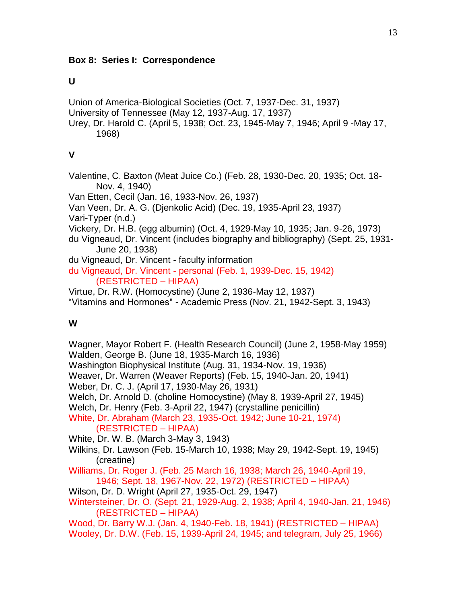# **U**

Union of America-Biological Societies (Oct. 7, 1937-Dec. 31, 1937) University of Tennessee (May 12, 1937-Aug. 17, 1937) Urey, Dr. Harold C. (April 5, 1938; Oct. 23, 1945-May 7, 1946; April 9 -May 17, 1968)

# **V**

Valentine, C. Baxton (Meat Juice Co.) (Feb. 28, 1930-Dec. 20, 1935; Oct. 18- Nov. 4, 1940)

Van Etten, Cecil (Jan. 16, 1933-Nov. 26, 1937)

Van Veen, Dr. A. G. (Djenkolic Acid) (Dec. 19, 1935-April 23, 1937)

Vari-Typer (n.d.)

Vickery, Dr. H.B. (egg albumin) (Oct. 4, 1929-May 10, 1935; Jan. 9-26, 1973)

du Vigneaud, Dr. Vincent (includes biography and bibliography) (Sept. 25, 1931- June 20, 1938)

du Vigneaud, Dr. Vincent - faculty information

du Vigneaud, Dr. Vincent - personal (Feb. 1, 1939-Dec. 15, 1942) (RESTRICTED – HIPAA)

Virtue, Dr. R.W. (Homocystine) (June 2, 1936-May 12, 1937)

"Vitamins and Hormones" - Academic Press (Nov. 21, 1942-Sept. 3, 1943)

# **W**

Wagner, Mayor Robert F. (Health Research Council) (June 2, 1958-May 1959) Walden, George B. (June 18, 1935-March 16, 1936) Washington Biophysical Institute (Aug. 31, 1934-Nov. 19, 1936) Weaver, Dr. Warren (Weaver Reports) (Feb. 15, 1940-Jan. 20, 1941) Weber, Dr. C. J. (April 17, 1930-May 26, 1931) Welch, Dr. Arnold D. (choline Homocystine) (May 8, 1939-April 27, 1945) Welch, Dr. Henry (Feb. 3-April 22, 1947) (crystalline penicillin) White, Dr. Abraham (March 23, 1935-Oct. 1942; June 10-21, 1974) (RESTRICTED – HIPAA) White, Dr. W. B. (March 3-May 3, 1943) Wilkins, Dr. Lawson (Feb. 15-March 10, 1938; May 29, 1942-Sept. 19, 1945) (creatine) Williams, Dr. Roger J. (Feb. 25 March 16, 1938; March 26, 1940-April 19, 1946; Sept. 18, 1967-Nov. 22, 1972) (RESTRICTED – HIPAA) Wilson, Dr. D. Wright (April 27, 1935-Oct. 29, 1947) Wintersteiner, Dr. O. (Sept. 21, 1929-Aug. 2, 1938; April 4, 1940-Jan. 21, 1946) (RESTRICTED – HIPAA) Wood, Dr. Barry W.J. (Jan. 4, 1940-Feb. 18, 1941) (RESTRICTED – HIPAA) Wooley, Dr. D.W. (Feb. 15, 1939-April 24, 1945; and telegram, July 25, 1966)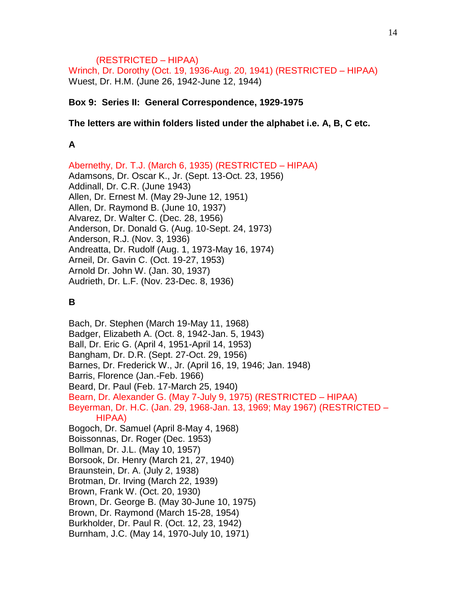### (RESTRICTED – HIPAA)

Wrinch, Dr. Dorothy (Oct. 19, 1936-Aug. 20, 1941) (RESTRICTED – HIPAA) Wuest, Dr. H.M. (June 26, 1942-June 12, 1944)

### **Box 9: Series II: General Correspondence, 1929-1975**

#### **The letters are within folders listed under the alphabet i.e. A, B, C etc.**

### **A**

Abernethy, Dr. T.J. (March 6, 1935) (RESTRICTED – HIPAA) Adamsons, Dr. Oscar K., Jr. (Sept. 13-Oct. 23, 1956) Addinall, Dr. C.R. (June 1943) Allen, Dr. Ernest M. (May 29-June 12, 1951) Allen, Dr. Raymond B. (June 10, 1937) Alvarez, Dr. Walter C. (Dec. 28, 1956) Anderson, Dr. Donald G. (Aug. 10-Sept. 24, 1973) Anderson, R.J. (Nov. 3, 1936) Andreatta, Dr. Rudolf (Aug. 1, 1973-May 16, 1974) Arneil, Dr. Gavin C. (Oct. 19-27, 1953) Arnold Dr. John W. (Jan. 30, 1937) Audrieth, Dr. L.F. (Nov. 23-Dec. 8, 1936)

# **B**

Bach, Dr. Stephen (March 19-May 11, 1968) Badger, Elizabeth A. (Oct. 8, 1942-Jan. 5, 1943) Ball, Dr. Eric G. (April 4, 1951-April 14, 1953) Bangham, Dr. D.R. (Sept. 27-Oct. 29, 1956) Barnes, Dr. Frederick W., Jr. (April 16, 19, 1946; Jan. 1948) Barris, Florence (Jan.-Feb. 1966) Beard, Dr. Paul (Feb. 17-March 25, 1940) Bearn, Dr. Alexander G. (May 7-July 9, 1975) (RESTRICTED – HIPAA) Beyerman, Dr. H.C. (Jan. 29, 1968-Jan. 13, 1969; May 1967) (RESTRICTED – HIPAA) Bogoch, Dr. Samuel (April 8-May 4, 1968) Boissonnas, Dr. Roger (Dec. 1953) Bollman, Dr. J.L. (May 10, 1957) Borsook, Dr. Henry (March 21, 27, 1940) Braunstein, Dr. A. (July 2, 1938) Brotman, Dr. Irving (March 22, 1939) Brown, Frank W. (Oct. 20, 1930) Brown, Dr. George B. (May 30-June 10, 1975) Brown, Dr. Raymond (March 15-28, 1954) Burkholder, Dr. Paul R. (Oct. 12, 23, 1942) Burnham, J.C. (May 14, 1970-July 10, 1971)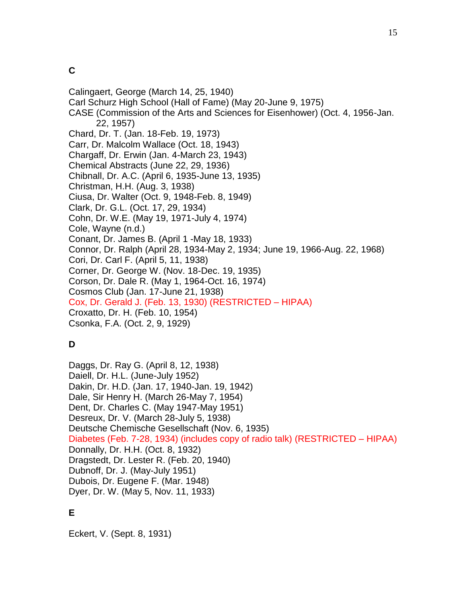Calingaert, George (March 14, 25, 1940) Carl Schurz High School (Hall of Fame) (May 20-June 9, 1975) CASE (Commission of the Arts and Sciences for Eisenhower) (Oct. 4, 1956-Jan. 22, 1957) Chard, Dr. T. (Jan. 18-Feb. 19, 1973) Carr, Dr. Malcolm Wallace (Oct. 18, 1943) Chargaff, Dr. Erwin (Jan. 4-March 23, 1943) Chemical Abstracts (June 22, 29, 1936) Chibnall, Dr. A.C. (April 6, 1935-June 13, 1935) Christman, H.H. (Aug. 3, 1938) Ciusa, Dr. Walter (Oct. 9, 1948-Feb. 8, 1949) Clark, Dr. G.L. (Oct. 17, 29, 1934) Cohn, Dr. W.E. (May 19, 1971-July 4, 1974) Cole, Wayne (n.d.) Conant, Dr. James B. (April 1 -May 18, 1933) Connor, Dr. Ralph (April 28, 1934-May 2, 1934; June 19, 1966-Aug. 22, 1968) Cori, Dr. Carl F. (April 5, 11, 1938) Corner, Dr. George W. (Nov. 18-Dec. 19, 1935) Corson, Dr. Dale R. (May 1, 1964-Oct. 16, 1974) Cosmos Club (Jan. 17-June 21, 1938) Cox, Dr. Gerald J. (Feb. 13, 1930) (RESTRICTED – HIPAA) Croxatto, Dr. H. (Feb. 10, 1954) Csonka, F.A. (Oct. 2, 9, 1929)

# **D**

Daggs, Dr. Ray G. (April 8, 12, 1938) Daiell, Dr. H.L. (June-July 1952) Dakin, Dr. H.D. (Jan. 17, 1940-Jan. 19, 1942) Dale, Sir Henry H. (March 26-May 7, 1954) Dent, Dr. Charles C. (May 1947-May 1951) Desreux, Dr. V. (March 28-July 5, 1938) Deutsche Chemische Gesellschaft (Nov. 6, 1935) Diabetes (Feb. 7-28, 1934) (includes copy of radio talk) (RESTRICTED – HIPAA) Donnally, Dr. H.H. (Oct. 8, 1932) Dragstedt, Dr. Lester R. (Feb. 20, 1940) Dubnoff, Dr. J. (May-July 1951) Dubois, Dr. Eugene F. (Mar. 1948) Dyer, Dr. W. (May 5, Nov. 11, 1933)

# **E**

Eckert, V. (Sept. 8, 1931)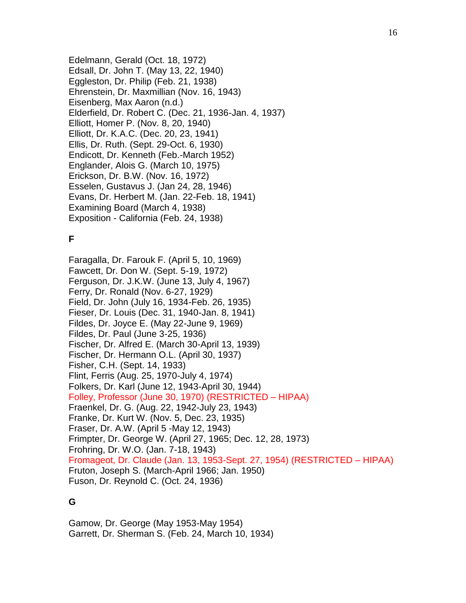Edelmann, Gerald (Oct. 18, 1972) Edsall, Dr. John T. (May 13, 22, 1940) Eggleston, Dr. Philip (Feb. 21, 1938) Ehrenstein, Dr. Maxmillian (Nov. 16, 1943) Eisenberg, Max Aaron (n.d.) Elderfield, Dr. Robert C. (Dec. 21, 1936-Jan. 4, 1937) Elliott, Homer P. (Nov. 8, 20, 1940) Elliott, Dr. K.A.C. (Dec. 20, 23, 1941) Ellis, Dr. Ruth. (Sept. 29-Oct. 6, 1930) Endicott, Dr. Kenneth (Feb.-March 1952) Englander, Alois G. (March 10, 1975) Erickson, Dr. B.W. (Nov. 16, 1972) Esselen, Gustavus J. (Jan 24, 28, 1946) Evans, Dr. Herbert M. (Jan. 22-Feb. 18, 1941) Examining Board (March 4, 1938) Exposition - California (Feb. 24, 1938)

## **F**

Faragalla, Dr. Farouk F. (April 5, 10, 1969) Fawcett, Dr. Don W. (Sept. 5-19, 1972) Ferguson, Dr. J.K.W. (June 13, July 4, 1967) Ferry, Dr. Ronald (Nov. 6-27, 1929) Field, Dr. John (July 16, 1934-Feb. 26, 1935) Fieser, Dr. Louis (Dec. 31, 1940-Jan. 8, 1941) Fildes, Dr. Joyce E. (May 22-June 9, 1969) Fildes, Dr. Paul (June 3-25, 1936) Fischer, Dr. Alfred E. (March 30-April 13, 1939) Fischer, Dr. Hermann O.L. (April 30, 1937) Fisher, C.H. (Sept. 14, 1933) Flint, Ferris (Aug. 25, 1970-July 4, 1974) Folkers, Dr. Karl (June 12, 1943-April 30, 1944) Folley, Professor (June 30, 1970) (RESTRICTED – HIPAA) Fraenkel, Dr. G. (Aug. 22, 1942-July 23, 1943) Franke, Dr. Kurt W. (Nov. 5, Dec. 23, 1935) Fraser, Dr. A.W. (April 5 -May 12, 1943) Frimpter, Dr. George W. (April 27, 1965; Dec. 12, 28, 1973) Frohring, Dr. W.O. (Jan. 7-18, 1943) Fromageot, Dr. Claude (Jan. 13, 1953-Sept. 27, 1954) (RESTRICTED – HIPAA) Fruton, Joseph S. (March-April 1966; Jan. 1950) Fuson, Dr. Reynold C. (Oct. 24, 1936)

# **G**

Gamow, Dr. George (May 1953-May 1954) Garrett, Dr. Sherman S. (Feb. 24, March 10, 1934)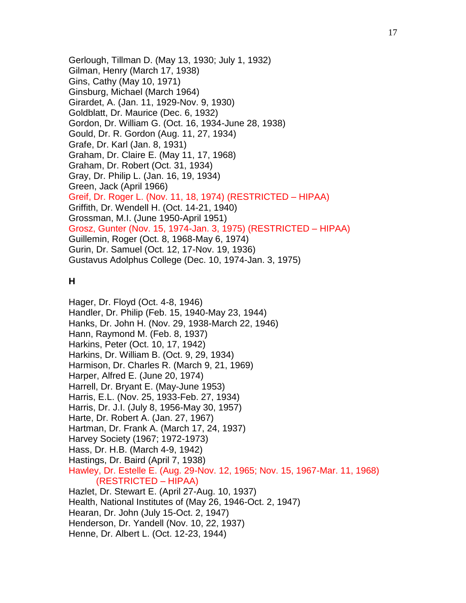Gerlough, Tillman D. (May 13, 1930; July 1, 1932) Gilman, Henry (March 17, 1938) Gins, Cathy (May 10, 1971) Ginsburg, Michael (March 1964) Girardet, A. (Jan. 11, 1929-Nov. 9, 1930) Goldblatt, Dr. Maurice (Dec. 6, 1932) Gordon, Dr. William G. (Oct. 16, 1934-June 28, 1938) Gould, Dr. R. Gordon (Aug. 11, 27, 1934) Grafe, Dr. Karl (Jan. 8, 1931) Graham, Dr. Claire E. (May 11, 17, 1968) Graham, Dr. Robert (Oct. 31, 1934) Gray, Dr. Philip L. (Jan. 16, 19, 1934) Green, Jack (April 1966) Greif, Dr. Roger L. (Nov. 11, 18, 1974) (RESTRICTED – HIPAA) Griffith, Dr. Wendell H. (Oct. 14-21, 1940) Grossman, M.I. (June 1950-April 1951) Grosz, Gunter (Nov. 15, 1974-Jan. 3, 1975) (RESTRICTED – HIPAA) Guillemin, Roger (Oct. 8, 1968-May 6, 1974) Gurin, Dr. Samuel (Oct. 12, 17-Nov. 19, 1936) Gustavus Adolphus College (Dec. 10, 1974-Jan. 3, 1975)

## **H**

Hager, Dr. Floyd (Oct. 4-8, 1946) Handler, Dr. Philip (Feb. 15, 1940-May 23, 1944) Hanks, Dr. John H. (Nov. 29, 1938-March 22, 1946) Hann, Raymond M. (Feb. 8, 1937) Harkins, Peter (Oct. 10, 17, 1942) Harkins, Dr. William B. (Oct. 9, 29, 1934) Harmison, Dr. Charles R. (March 9, 21, 1969) Harper, Alfred E. (June 20, 1974) Harrell, Dr. Bryant E. (May-June 1953) Harris, E.L. (Nov. 25, 1933-Feb. 27, 1934) Harris, Dr. J.I. (July 8, 1956-May 30, 1957) Harte, Dr. Robert A. (Jan. 27, 1967) Hartman, Dr. Frank A. (March 17, 24, 1937) Harvey Society (1967; 1972-1973) Hass, Dr. H.B. (March 4-9, 1942) Hastings, Dr. Baird (April 7, 1938) Hawley, Dr. Estelle E. (Aug. 29-Nov. 12, 1965; Nov. 15, 1967-Mar. 11, 1968) (RESTRICTED – HIPAA) Hazlet, Dr. Stewart E. (April 27-Aug. 10, 1937) Health, National Institutes of (May 26, 1946-Oct. 2, 1947) Hearan, Dr. John (July 15-Oct. 2, 1947) Henderson, Dr. Yandell (Nov. 10, 22, 1937) Henne, Dr. Albert L. (Oct. 12-23, 1944)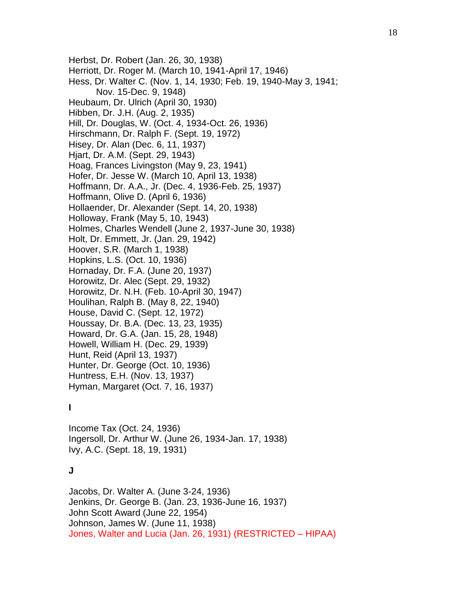Herbst, Dr. Robert (Jan. 26, 30, 1938) Herriott, Dr. Roger M. (March 10, 1941-April 17, 1946) Hess, Dr. Walter C. (Nov. 1, 14, 1930; Feb. 19, 1940-May 3, 1941; Nov. 15-Dec. 9, 1948) Heubaum, Dr. Ulrich (April 30, 1930) Hibben, Dr. J.H. (Aug. 2, 1935) Hill, Dr. Douglas, W. (Oct. 4, 1934-Oct. 26, 1936) Hirschmann, Dr. Ralph F. (Sept. 19, 1972) Hisey, Dr. Alan (Dec. 6, 11, 1937) Hjart, Dr. A.M. (Sept. 29, 1943) Hoag, Frances Livingston (May 9, 23, 1941) Hofer, Dr. Jesse W. (March 10, April 13, 1938) Hoffmann, Dr. A.A., Jr. (Dec. 4, 1936-Feb. 25, 1937) Hoffmann, Olive D. (April 6, 1936) Hollaender, Dr. Alexander (Sept. 14, 20, 1938) Holloway, Frank (May 5, 10, 1943) Holmes, Charles Wendell (June 2, 1937-June 30, 1938) Holt, Dr. Emmett, Jr. (Jan. 29, 1942) Hoover, S.R. (March 1, 1938) Hopkins, L.S. (Oct. 10, 1936) Hornaday, Dr. F.A. (June 20, 1937) Horowitz, Dr. Alec (Sept. 29, 1932) Horowitz, Dr. N.H. (Feb. 10-April 30, 1947) Houlihan, Ralph B. (May 8, 22, 1940) House, David C. (Sept. 12, 1972) Houssay, Dr. B.A. (Dec. 13, 23, 1935) Howard, Dr. G.A. (Jan. 15, 28, 1948) Howell, William H. (Dec. 29, 1939) Hunt, Reid (April 13, 1937) Hunter, Dr. George (Oct. 10, 1936) Huntress, E.H. (Nov. 13, 1937) Hyman, Margaret (Oct. 7, 16, 1937)

### **I**

Income Tax (Oct. 24, 1936) Ingersoll, Dr. Arthur W. (June 26, 1934-Jan. 17, 1938) Ivy, A.C. (Sept. 18, 19, 1931)

### **J**

Jacobs, Dr. Walter A. (June 3-24, 1936) Jenkins, Dr. George B. (Jan. 23, 1936-June 16, 1937) John Scott Award (June 22, 1954) Johnson, James W. (June 11, 1938) Jones, Walter and Lucia (Jan. 26, 1931) (RESTRICTED – HIPAA)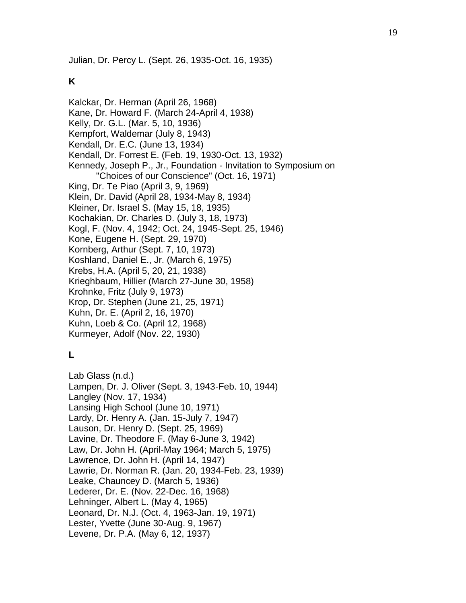Julian, Dr. Percy L. (Sept. 26, 1935-Oct. 16, 1935)

# **K**

Kalckar, Dr. Herman (April 26, 1968) Kane, Dr. Howard F. (March 24-April 4, 1938) Kelly, Dr. G.L. (Mar. 5, 10, 1936) Kempfort, Waldemar (July 8, 1943) Kendall, Dr. E.C. (June 13, 1934) Kendall, Dr. Forrest E. (Feb. 19, 1930-Oct. 13, 1932) Kennedy, Joseph P., Jr., Foundation - Invitation to Symposium on "Choices of our Conscience" (Oct. 16, 1971) King, Dr. Te Piao (April 3, 9, 1969) Klein, Dr. David (April 28, 1934-May 8, 1934) Kleiner, Dr. Israel S. (May 15, 18, 1935) Kochakian, Dr. Charles D. (July 3, 18, 1973) Kogl, F. (Nov. 4, 1942; Oct. 24, 1945-Sept. 25, 1946) Kone, Eugene H. (Sept. 29, 1970) Kornberg, Arthur (Sept. 7, 10, 1973) Koshland, Daniel E., Jr. (March 6, 1975) Krebs, H.A. (April 5, 20, 21, 1938) Krieghbaum, Hillier (March 27-June 30, 1958) Krohnke, Fritz (July 9, 1973) Krop, Dr. Stephen (June 21, 25, 1971) Kuhn, Dr. E. (April 2, 16, 1970) Kuhn, Loeb & Co. (April 12, 1968) Kurmeyer, Adolf (Nov. 22, 1930)

# **L**

Lab Glass (n.d.) Lampen, Dr. J. Oliver (Sept. 3, 1943-Feb. 10, 1944) Langley (Nov. 17, 1934) Lansing High School (June 10, 1971) Lardy, Dr. Henry A. (Jan. 15-July 7, 1947) Lauson, Dr. Henry D. (Sept. 25, 1969) Lavine, Dr. Theodore F. (May 6-June 3, 1942) Law, Dr. John H. (April-May 1964; March 5, 1975) Lawrence, Dr. John H. (April 14, 1947) Lawrie, Dr. Norman R. (Jan. 20, 1934-Feb. 23, 1939) Leake, Chauncey D. (March 5, 1936) Lederer, Dr. E. (Nov. 22-Dec. 16, 1968) Lehninger, Albert L. (May 4, 1965) Leonard, Dr. N.J. (Oct. 4, 1963-Jan. 19, 1971) Lester, Yvette (June 30-Aug. 9, 1967) Levene, Dr. P.A. (May 6, 12, 1937)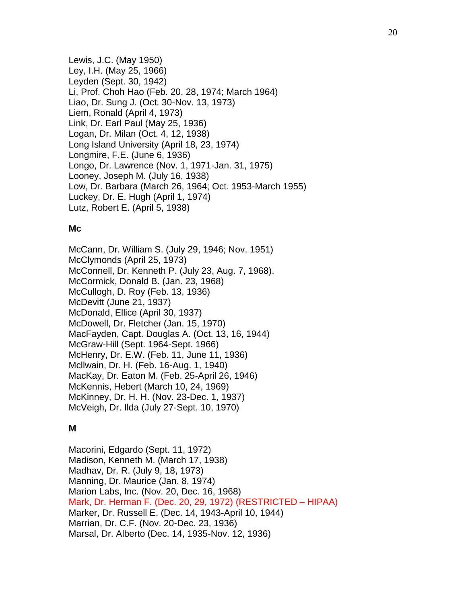Lewis, J.C. (May 1950) Ley, I.H. (May 25, 1966) Leyden (Sept. 30, 1942) Li, Prof. Choh Hao (Feb. 20, 28, 1974; March 1964) Liao, Dr. Sung J. (Oct. 30-Nov. 13, 1973) Liem, Ronald (April 4, 1973) Link, Dr. Earl Paul (May 25, 1936) Logan, Dr. Milan (Oct. 4, 12, 1938) Long Island University (April 18, 23, 1974) Longmire, F.E. (June 6, 1936) Longo, Dr. Lawrence (Nov. 1, 1971-Jan. 31, 1975) Looney, Joseph M. (July 16, 1938) Low, Dr. Barbara (March 26, 1964; Oct. 1953-March 1955) Luckey, Dr. E. Hugh (April 1, 1974) Lutz, Robert E. (April 5, 1938)

### **Mc**

McCann, Dr. William S. (July 29, 1946; Nov. 1951) McClymonds (April 25, 1973) McConnell, Dr. Kenneth P. (July 23, Aug. 7, 1968). McCormick, Donald B. (Jan. 23, 1968) McCullogh, D. Roy (Feb. 13, 1936) McDevitt (June 21, 1937) McDonald, Ellice (April 30, 1937) McDowell, Dr. Fletcher (Jan. 15, 1970) MacFayden, Capt. Douglas A. (Oct. 13, 16, 1944) McGraw-Hill (Sept. 1964-Sept. 1966) McHenry, Dr. E.W. (Feb. 11, June 11, 1936) Mcllwain, Dr. H. (Feb. 16-Aug. 1, 1940) MacKay, Dr. Eaton M. (Feb. 25-April 26, 1946) McKennis, Hebert (March 10, 24, 1969) McKinney, Dr. H. H. (Nov. 23-Dec. 1, 1937) McVeigh, Dr. Ilda (July 27-Sept. 10, 1970)

## **M**

Macorini, Edgardo (Sept. 11, 1972) Madison, Kenneth M. (March 17, 1938) Madhav, Dr. R. (July 9, 18, 1973) Manning, Dr. Maurice (Jan. 8, 1974) Marion Labs, Inc. (Nov. 20, Dec. 16, 1968) Mark, Dr. Herman F. (Dec. 20, 29, 1972) (RESTRICTED – HIPAA) Marker, Dr. Russell E. (Dec. 14, 1943-April 10, 1944) Marrian, Dr. C.F. (Nov. 20-Dec. 23, 1936) Marsal, Dr. Alberto (Dec. 14, 1935-Nov. 12, 1936)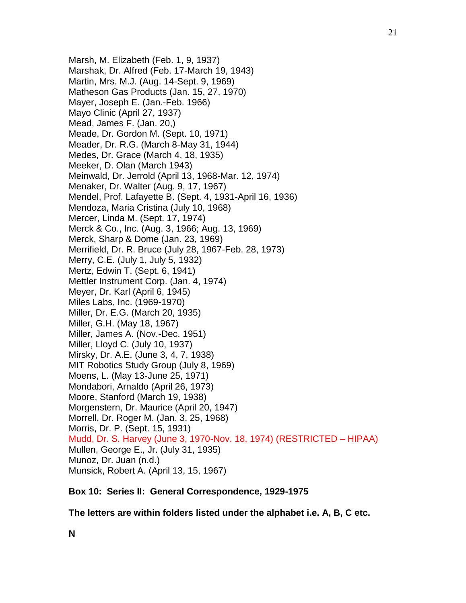Marsh, M. Elizabeth (Feb. 1, 9, 1937) Marshak, Dr. Alfred (Feb. 17-March 19, 1943) Martin, Mrs. M.J. (Aug. 14-Sept. 9, 1969) Matheson Gas Products (Jan. 15, 27, 1970) Mayer, Joseph E. (Jan.-Feb. 1966) Mayo Clinic (April 27, 1937) Mead, James F. (Jan. 20,) Meade, Dr. Gordon M. (Sept. 10, 1971) Meader, Dr. R.G. (March 8-May 31, 1944) Medes, Dr. Grace (March 4, 18, 1935) Meeker, D. Olan (March 1943) Meinwald, Dr. Jerrold (April 13, 1968-Mar. 12, 1974) Menaker, Dr. Walter (Aug. 9, 17, 1967) Mendel, Prof. Lafayette B. (Sept. 4, 1931-April 16, 1936) Mendoza, Maria Cristina (July 10, 1968) Mercer, Linda M. (Sept. 17, 1974) Merck & Co., Inc. (Aug. 3, 1966; Aug. 13, 1969) Merck, Sharp & Dome (Jan. 23, 1969) Merrifield, Dr. R. Bruce (July 28, 1967-Feb. 28, 1973) Merry, C.E. (July 1, July 5, 1932) Mertz, Edwin T. (Sept. 6, 1941) Mettler Instrument Corp. (Jan. 4, 1974) Meyer, Dr. Karl (April 6, 1945) Miles Labs, Inc. (1969-1970) Miller, Dr. E.G. (March 20, 1935) Miller, G.H. (May 18, 1967) Miller, James A. (Nov.-Dec. 1951) Miller, Lloyd C. (July 10, 1937) Mirsky, Dr. A.E. (June 3, 4, 7, 1938) MIT Robotics Study Group (July 8, 1969) Moens, L. (May 13-June 25, 1971) Mondabori, Arnaldo (April 26, 1973) Moore, Stanford (March 19, 1938) Morgenstern, Dr. Maurice (April 20, 1947) Morrell, Dr. Roger M. (Jan. 3, 25, 1968) Morris, Dr. P. (Sept. 15, 1931) Mudd, Dr. S. Harvey (June 3, 1970-Nov. 18, 1974) (RESTRICTED – HIPAA) Mullen, George E., Jr. (July 31, 1935) Munoz, Dr. Juan (n.d.) Munsick, Robert A. (April 13, 15, 1967)

### **Box 10: Series II: General Correspondence, 1929-1975**

**The letters are within folders listed under the alphabet i.e. A, B, C etc.**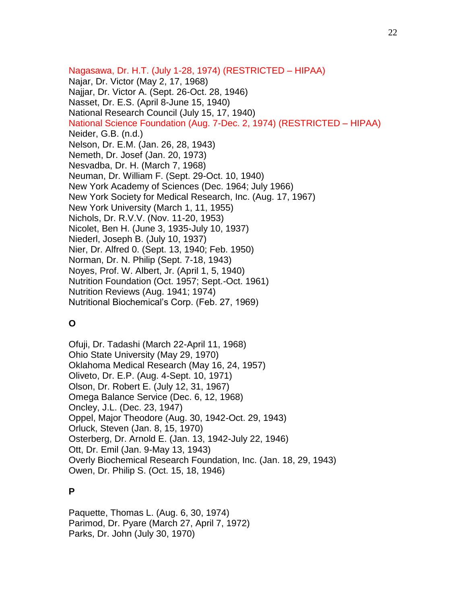Nagasawa, Dr. H.T. (July 1-28, 1974) (RESTRICTED – HIPAA) Najar, Dr. Victor (May 2, 17, 1968) Najjar, Dr. Victor A. (Sept. 26-Oct. 28, 1946) Nasset, Dr. E.S. (April 8-June 15, 1940) National Research Council (July 15, 17, 1940) National Science Foundation (Aug. 7-Dec. 2, 1974) (RESTRICTED – HIPAA) Neider, G.B. (n.d.) Nelson, Dr. E.M. (Jan. 26, 28, 1943) Nemeth, Dr. Josef (Jan. 20, 1973) Nesvadba, Dr. H. (March 7, 1968) Neuman, Dr. William F. (Sept. 29-Oct. 10, 1940) New York Academy of Sciences (Dec. 1964; July 1966) New York Society for Medical Research, Inc. (Aug. 17, 1967) New York University (March 1, 11, 1955) Nichols, Dr. R.V.V. (Nov. 11-20, 1953) Nicolet, Ben H. (June 3, 1935-July 10, 1937) Niederl, Joseph B. (July 10, 1937) Nier, Dr. Alfred 0. (Sept. 13, 1940; Feb. 1950) Norman, Dr. N. Philip (Sept. 7-18, 1943) Noyes, Prof. W. Albert, Jr. (April 1, 5, 1940) Nutrition Foundation (Oct. 1957; Sept.-Oct. 1961) Nutrition Reviews (Aug. 1941; 1974) Nutritional Biochemical's Corp. (Feb. 27, 1969)

# **O**

Ofuji, Dr. Tadashi (March 22-April 11, 1968) Ohio State University (May 29, 1970) Oklahoma Medical Research (May 16, 24, 1957) Oliveto, Dr. E.P. (Aug. 4-Sept. 10, 1971) Olson, Dr. Robert E. (July 12, 31, 1967) Omega Balance Service (Dec. 6, 12, 1968) Oncley, J.L. (Dec. 23, 1947) Oppel, Major Theodore (Aug. 30, 1942-Oct. 29, 1943) Orluck, Steven (Jan. 8, 15, 1970) Osterberg, Dr. Arnold E. (Jan. 13, 1942-July 22, 1946) Ott, Dr. Emil (Jan. 9-May 13, 1943) Overly Biochemical Research Foundation, Inc. (Jan. 18, 29, 1943) Owen, Dr. Philip S. (Oct. 15, 18, 1946)

# **P**

Paquette, Thomas L. (Aug. 6, 30, 1974) Parimod, Dr. Pyare (March 27, April 7, 1972) Parks, Dr. John (July 30, 1970)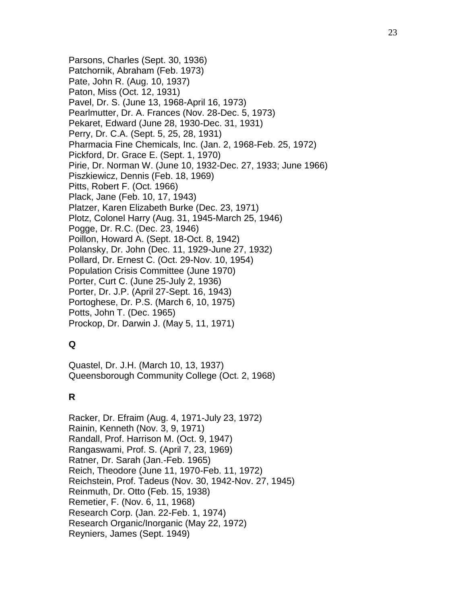Parsons, Charles (Sept. 30, 1936) Patchornik, Abraham (Feb. 1973) Pate, John R. (Aug. 10, 1937) Paton, Miss (Oct. 12, 1931) Pavel, Dr. S. (June 13, 1968-April 16, 1973) Pearlmutter, Dr. A. Frances (Nov. 28-Dec. 5, 1973) Pekaret, Edward (June 28, 1930-Dec. 31, 1931) Perry, Dr. C.A. (Sept. 5, 25, 28, 1931) Pharmacia Fine Chemicals, Inc. (Jan. 2, 1968-Feb. 25, 1972) Pickford, Dr. Grace E. (Sept. 1, 1970) Pirie, Dr. Norman W. (June 10, 1932-Dec. 27, 1933; June 1966) Piszkiewicz, Dennis (Feb. 18, 1969) Pitts, Robert F. (Oct. 1966) Plack, Jane (Feb. 10, 17, 1943) Platzer, Karen Elizabeth Burke (Dec. 23, 1971) Plotz, Colonel Harry (Aug. 31, 1945-March 25, 1946) Pogge, Dr. R.C. (Dec. 23, 1946) Poillon, Howard A. (Sept. 18-Oct. 8, 1942) Polansky, Dr. John (Dec. 11, 1929-June 27, 1932) Pollard, Dr. Ernest C. (Oct. 29-Nov. 10, 1954) Population Crisis Committee (June 1970) Porter, Curt C. (June 25-July 2, 1936) Porter, Dr. J.P. (April 27-Sept. 16, 1943) Portoghese, Dr. P.S. (March 6, 10, 1975) Potts, John T. (Dec. 1965) Prockop, Dr. Darwin J. (May 5, 11, 1971)

# **Q**

Quastel, Dr. J.H. (March 10, 13, 1937) Queensborough Community College (Oct. 2, 1968)

# **R**

Racker, Dr. Efraim (Aug. 4, 1971-July 23, 1972) Rainin, Kenneth (Nov. 3, 9, 1971) Randall, Prof. Harrison M. (Oct. 9, 1947) Rangaswami, Prof. S. (April 7, 23, 1969) Ratner, Dr. Sarah (Jan.-Feb. 1965) Reich, Theodore (June 11, 1970-Feb. 11, 1972) Reichstein, Prof. Tadeus (Nov. 30, 1942-Nov. 27, 1945) Reinmuth, Dr. Otto (Feb. 15, 1938) Remetier, F. (Nov. 6, 11, 1968) Research Corp. (Jan. 22-Feb. 1, 1974) Research Organic/Inorganic (May 22, 1972) Reyniers, James (Sept. 1949)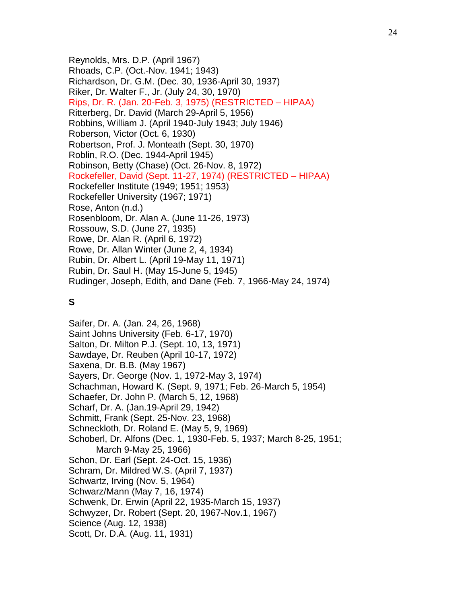Reynolds, Mrs. D.P. (April 1967) Rhoads, C.P. (Oct.-Nov. 1941; 1943) Richardson, Dr. G.M. (Dec. 30, 1936-April 30, 1937) Riker, Dr. Walter F., Jr. (July 24, 30, 1970) Rips, Dr. R. (Jan. 20-Feb. 3, 1975) (RESTRICTED – HIPAA) Ritterberg, Dr. David (March 29-April 5, 1956) Robbins, William J. (April 1940-July 1943; July 1946) Roberson, Victor (Oct. 6, 1930) Robertson, Prof. J. Monteath (Sept. 30, 1970) Roblin, R.O. (Dec. 1944-April 1945) Robinson, Betty (Chase) (Oct. 26-Nov. 8, 1972) Rockefeller, David (Sept. 11-27, 1974) (RESTRICTED – HIPAA) Rockefeller Institute (1949; 1951; 1953) Rockefeller University (1967; 1971) Rose, Anton (n.d.) Rosenbloom, Dr. Alan A. (June 11-26, 1973) Rossouw, S.D. (June 27, 1935) Rowe, Dr. Alan R. (April 6, 1972) Rowe, Dr. Allan Winter (June 2, 4, 1934) Rubin, Dr. Albert L. (April 19-May 11, 1971) Rubin, Dr. Saul H. (May 15-June 5, 1945) Rudinger, Joseph, Edith, and Dane (Feb. 7, 1966-May 24, 1974)

# **S**

Saifer, Dr. A. (Jan. 24, 26, 1968) Saint Johns University (Feb. 6-17, 1970) Salton, Dr. Milton P.J. (Sept. 10, 13, 1971) Sawdaye, Dr. Reuben (April 10-17, 1972) Saxena, Dr. B.B. (May 1967) Sayers, Dr. George (Nov. 1, 1972-May 3, 1974) Schachman, Howard K. (Sept. 9, 1971; Feb. 26-March 5, 1954) Schaefer, Dr. John P. (March 5, 12, 1968) Scharf, Dr. A. (Jan.19-April 29, 1942) Schmitt, Frank (Sept. 25-Nov. 23, 1968) Schneckloth, Dr. Roland E. (May 5, 9, 1969) Schoberl, Dr. Alfons (Dec. 1, 1930-Feb. 5, 1937; March 8-25, 1951; March 9-May 25, 1966) Schon, Dr. Earl (Sept. 24-Oct. 15, 1936) Schram, Dr. Mildred W.S. (April 7, 1937) Schwartz, Irving (Nov. 5, 1964) Schwarz/Mann (May 7, 16, 1974) Schwenk, Dr. Erwin (April 22, 1935-March 15, 1937) Schwyzer, Dr. Robert (Sept. 20, 1967-Nov.1, 1967) Science (Aug. 12, 1938) Scott, Dr. D.A. (Aug. 11, 1931)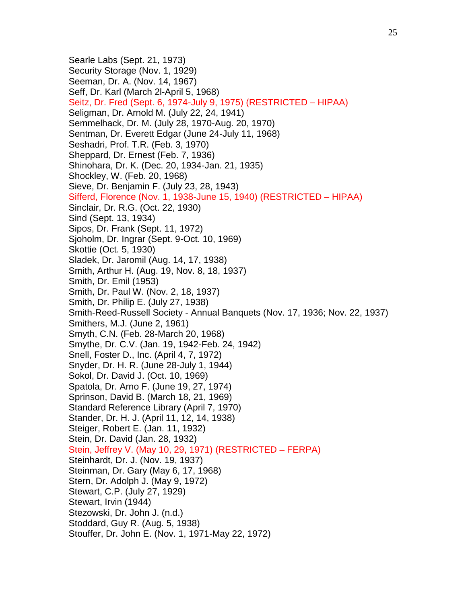Searle Labs (Sept. 21, 1973) Security Storage (Nov. 1, 1929) Seeman, Dr. A. (Nov. 14, 1967) Seff, Dr. Karl (March 2l-April 5, 1968) Seitz, Dr. Fred (Sept. 6, 1974-July 9, 1975) (RESTRICTED – HIPAA) Seligman, Dr. Arnold M. (July 22, 24, 1941) Semmelhack, Dr. M. (July 28, 1970-Aug. 20, 1970) Sentman, Dr. Everett Edgar (June 24-July 11, 1968) Seshadri, Prof. T.R. (Feb. 3, 1970) Sheppard, Dr. Ernest (Feb. 7, 1936) Shinohara, Dr. K. (Dec. 20, 1934-Jan. 21, 1935) Shockley, W. (Feb. 20, 1968) Sieve, Dr. Benjamin F. (July 23, 28, 1943) Sifferd, Florence (Nov. 1, 1938-June 15, 1940) (RESTRICTED – HIPAA) Sinclair, Dr. R.G. (Oct. 22, 1930) Sind (Sept. 13, 1934) Sipos, Dr. Frank (Sept. 11, 1972) Sjoholm, Dr. Ingrar (Sept. 9-Oct. 10, 1969) Skottie (Oct. 5, 1930) Sladek, Dr. Jaromil (Aug. 14, 17, 1938) Smith, Arthur H. (Aug. 19, Nov. 8, 18, 1937) Smith, Dr. Emil (1953) Smith, Dr. Paul W. (Nov. 2, 18, 1937) Smith, Dr. Philip E. (July 27, 1938) Smith-Reed-Russell Society - Annual Banquets (Nov. 17, 1936; Nov. 22, 1937) Smithers, M.J. (June 2, 1961) Smyth, C.N. (Feb. 28-March 20, 1968) Smythe, Dr. C.V. (Jan. 19, 1942-Feb. 24, 1942) Snell, Foster D., Inc. (April 4, 7, 1972) Snyder, Dr. H. R. (June 28-July 1, 1944) Sokol, Dr. David J. (Oct. 10, 1969) Spatola, Dr. Arno F. (June 19, 27, 1974) Sprinson, David B. (March 18, 21, 1969) Standard Reference Library (April 7, 1970) Stander, Dr. H. J. (April 11, 12, 14, 1938) Steiger, Robert E. (Jan. 11, 1932) Stein, Dr. David (Jan. 28, 1932) Stein, Jeffrey V. (May 10, 29, 1971) (RESTRICTED – FERPA) Steinhardt, Dr. J. (Nov. 19, 1937) Steinman, Dr. Gary (May 6, 17, 1968) Stern, Dr. Adolph J. (May 9, 1972) Stewart, C.P. (July 27, 1929) Stewart, Irvin (1944) Stezowski, Dr. John J. (n.d.) Stoddard, Guy R. (Aug. 5, 1938) Stouffer, Dr. John E. (Nov. 1, 1971-May 22, 1972)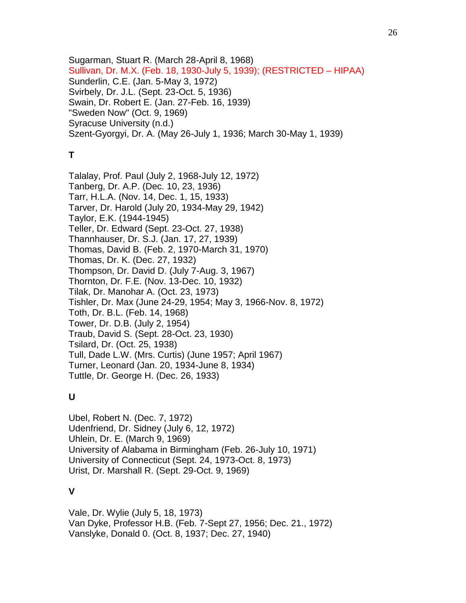Sugarman, Stuart R. (March 28-April 8, 1968) Sullivan, Dr. M.X. (Feb. 18, 1930-July 5, 1939); (RESTRICTED – HIPAA) Sunderlin, C.E. (Jan. 5-May 3, 1972) Svirbely, Dr. J.L. (Sept. 23-Oct. 5, 1936) Swain, Dr. Robert E. (Jan. 27-Feb. 16, 1939) "Sweden Now" (Oct. 9, 1969) Syracuse University (n.d.) Szent-Gyorgyi, Dr. A. (May 26-July 1, 1936; March 30-May 1, 1939)

# **T**

Talalay, Prof. Paul (July 2, 1968-July 12, 1972) Tanberg, Dr. A.P. (Dec. 10, 23, 1936) Tarr, H.L.A. (Nov. 14, Dec. 1, 15, 1933) Tarver, Dr. Harold (July 20, 1934-May 29, 1942) Taylor, E.K. (1944-1945) Teller, Dr. Edward (Sept. 23-Oct. 27, 1938) Thannhauser, Dr. S.J. (Jan. 17, 27, 1939) Thomas, David B. (Feb. 2, 1970-March 31, 1970) Thomas, Dr. K. (Dec. 27, 1932) Thompson, Dr. David D. (July 7-Aug. 3, 1967) Thornton, Dr. F.E. (Nov. 13-Dec. 10, 1932) Tilak, Dr. Manohar A. (Oct. 23, 1973) Tishler, Dr. Max (June 24-29, 1954; May 3, 1966-Nov. 8, 1972) Toth, Dr. B.L. (Feb. 14, 1968) Tower, Dr. D.B. (July 2, 1954) Traub, David S. (Sept. 28-Oct. 23, 1930) Tsilard, Dr. (Oct. 25, 1938) Tull, Dade L.W. (Mrs. Curtis) (June 1957; April 1967) Turner, Leonard (Jan. 20, 1934-June 8, 1934) Tuttle, Dr. George H. (Dec. 26, 1933)

# **U**

Ubel, Robert N. (Dec. 7, 1972) Udenfriend, Dr. Sidney (July 6, 12, 1972) Uhlein, Dr. E. (March 9, 1969) University of Alabama in Birmingham (Feb. 26-July 10, 1971) University of Connecticut (Sept. 24, 1973-Oct. 8, 1973) Urist, Dr. Marshall R. (Sept. 29-Oct. 9, 1969)

# **V**

Vale, Dr. Wylie (July 5, 18, 1973) Van Dyke, Professor H.B. (Feb. 7-Sept 27, 1956; Dec. 21., 1972) Vanslyke, Donald 0. (Oct. 8, 1937; Dec. 27, 1940)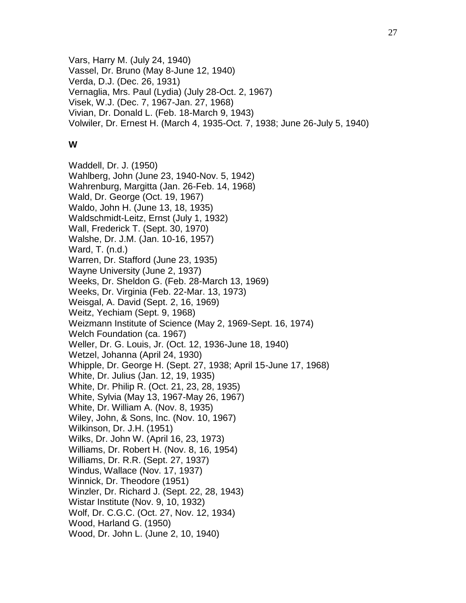Vars, Harry M. (July 24, 1940) Vassel, Dr. Bruno (May 8-June 12, 1940) Verda, D.J. (Dec. 26, 1931) Vernaglia, Mrs. Paul (Lydia) (July 28-Oct. 2, 1967) Visek, W.J. (Dec. 7, 1967-Jan. 27, 1968) Vivian, Dr. Donald L. (Feb. 18-March 9, 1943) Volwiler, Dr. Ernest H. (March 4, 1935-Oct. 7, 1938; June 26-July 5, 1940)

### **W**

Waddell, Dr. J. (1950) Wahlberg, John (June 23, 1940-Nov. 5, 1942) Wahrenburg, Margitta (Jan. 26-Feb. 14, 1968) Wald, Dr. George (Oct. 19, 1967) Waldo, John H. (June 13, 18, 1935) Waldschmidt-Leitz, Ernst (July 1, 1932) Wall, Frederick T. (Sept. 30, 1970) Walshe, Dr. J.M. (Jan. 10-16, 1957) Ward, T. (n.d.) Warren, Dr. Stafford (June 23, 1935) Wayne University (June 2, 1937) Weeks, Dr. Sheldon G. (Feb. 28-March 13, 1969) Weeks, Dr. Virginia (Feb. 22-Mar. 13, 1973) Weisgal, A. David (Sept. 2, 16, 1969) Weitz, Yechiam (Sept. 9, 1968) Weizmann Institute of Science (May 2, 1969-Sept. 16, 1974) Welch Foundation (ca. 1967) Weller, Dr. G. Louis, Jr. (Oct. 12, 1936-June 18, 1940) Wetzel, Johanna (April 24, 1930) Whipple, Dr. George H. (Sept. 27, 1938; April 15-June 17, 1968) White, Dr. Julius (Jan. 12, 19, 1935) White, Dr. Philip R. (Oct. 21, 23, 28, 1935) White, Sylvia (May 13, 1967-May 26, 1967) White, Dr. William A. (Nov. 8, 1935) Wiley, John, & Sons, Inc. (Nov. 10, 1967) Wilkinson, Dr. J.H. (1951) Wilks, Dr. John W. (April 16, 23, 1973) Williams, Dr. Robert H. (Nov. 8, 16, 1954) Williams, Dr. R.R. (Sept. 27, 1937) Windus, Wallace (Nov. 17, 1937) Winnick, Dr. Theodore (1951) Winzler, Dr. Richard J. (Sept. 22, 28, 1943) Wistar Institute (Nov. 9, 10, 1932) Wolf, Dr. C.G.C. (Oct. 27, Nov. 12, 1934) Wood, Harland G. (1950) Wood, Dr. John L. (June 2, 10, 1940)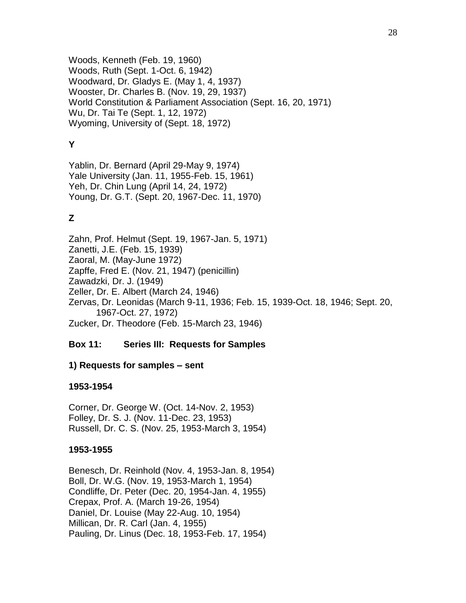Woods, Kenneth (Feb. 19, 1960) Woods, Ruth (Sept. 1-Oct. 6, 1942) Woodward, Dr. Gladys E. (May 1, 4, 1937) Wooster, Dr. Charles B. (Nov. 19, 29, 1937) World Constitution & Parliament Association (Sept. 16, 20, 1971) Wu, Dr. Tai Te (Sept. 1, 12, 1972) Wyoming, University of (Sept. 18, 1972)

# **Y**

Yablin, Dr. Bernard (April 29-May 9, 1974) Yale University (Jan. 11, 1955-Feb. 15, 1961) Yeh, Dr. Chin Lung (April 14, 24, 1972) Young, Dr. G.T. (Sept. 20, 1967-Dec. 11, 1970)

# **Z**

Zahn, Prof. Helmut (Sept. 19, 1967-Jan. 5, 1971) Zanetti, J.E. (Feb. 15, 1939) Zaoral, M. (May-June 1972) Zapffe, Fred E. (Nov. 21, 1947) (penicillin) Zawadzki, Dr. J. (1949) Zeller, Dr. E. Albert (March 24, 1946) Zervas, Dr. Leonidas (March 9-11, 1936; Feb. 15, 1939-Oct. 18, 1946; Sept. 20, 1967-Oct. 27, 1972) Zucker, Dr. Theodore (Feb. 15-March 23, 1946)

## **Box 11: Series III: Requests for Samples**

## **1) Requests for samples – sent**

## **1953-1954**

Corner, Dr. George W. (Oct. 14-Nov. 2, 1953) Folley, Dr. S. J. (Nov. 11-Dec. 23, 1953) Russell, Dr. C. S. (Nov. 25, 1953-March 3, 1954)

## **1953-1955**

Benesch, Dr. Reinhold (Nov. 4, 1953-Jan. 8, 1954) Boll, Dr. W.G. (Nov. 19, 1953-March 1, 1954) Condliffe, Dr. Peter (Dec. 20, 1954-Jan. 4, 1955) Crepax, Prof. A. (March 19-26, 1954) Daniel, Dr. Louise (May 22-Aug. 10, 1954) Millican, Dr. R. Carl (Jan. 4, 1955) Pauling, Dr. Linus (Dec. 18, 1953-Feb. 17, 1954)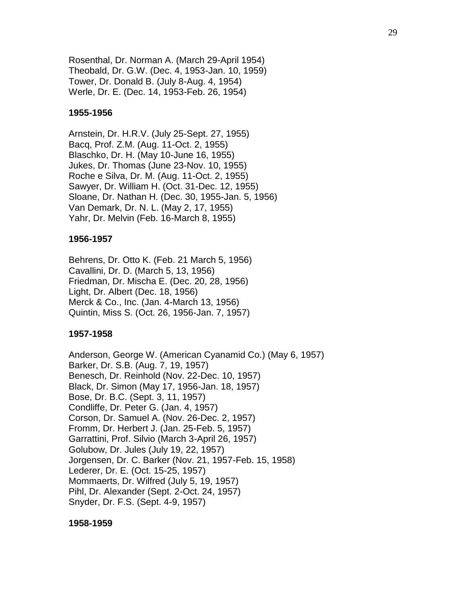Rosenthal, Dr. Norman A. (March 29-April 1954) Theobald, Dr. G.W. (Dec. 4, 1953-Jan. 10, 1959) Tower, Dr. Donald B. (July 8-Aug. 4, 1954) Werle, Dr. E. (Dec. 14, 1953-Feb. 26, 1954)

#### **1955-1956**

Arnstein, Dr. H.R.V. (July 25-Sept. 27, 1955) Bacq, Prof. Z.M. (Aug. 11-Oct. 2, 1955) Blaschko, Dr. H. (May 10-June 16, 1955) Jukes, Dr. Thomas (June 23-Nov. 10, 1955) Roche e Silva, Dr. M. (Aug. 11-Oct. 2, 1955) Sawyer, Dr. William H. (Oct. 31-Dec. 12, 1955) Sloane, Dr. Nathan H. (Dec. 30, 1955-Jan. 5, 1956) Van Demark, Dr. N. L. (May 2, 17, 1955) Yahr, Dr. Melvin (Feb. 16-March 8, 1955)

#### **1956-1957**

Behrens, Dr. Otto K. (Feb. 21 March 5, 1956) Cavallini, Dr. D. (March 5, 13, 1956) Friedman, Dr. Mischa E. (Dec. 20, 28, 1956) Light, Dr. Albert (Dec. 18, 1956) Merck & Co., Inc. (Jan. 4-March 13, 1956) Quintin, Miss S. (Oct. 26, 1956-Jan. 7, 1957)

#### **1957-1958**

Anderson, George W. (American Cyanamid Co.) (May 6, 1957) Barker, Dr. S.B. (Aug. 7, 19, 1957) Benesch, Dr. Reinhold (Nov. 22-Dec. 10, 1957) Black, Dr. Simon (May 17, 1956-Jan. 18, 1957) Bose, Dr. B.C. (Sept. 3, 11, 1957) Condliffe, Dr. Peter G. (Jan. 4, 1957) Corson, Dr. Samuel A. (Nov. 26-Dec. 2, 1957) Fromm, Dr. Herbert J. (Jan. 25-Feb. 5, 1957) Garrattini, Prof. Silvio (March 3-April 26, 1957) Golubow, Dr. Jules (July 19, 22, 1957) Jorgensen, Dr. C. Barker (Nov. 21, 1957-Feb. 15, 1958) Lederer, Dr. E. (Oct. 15-25, 1957) Mommaerts, Dr. Wilfred (July 5, 19, 1957) Pihl, Dr. Alexander (Sept. 2-Oct. 24, 1957) Snyder, Dr. F.S. (Sept. 4-9, 1957)

**1958-1959**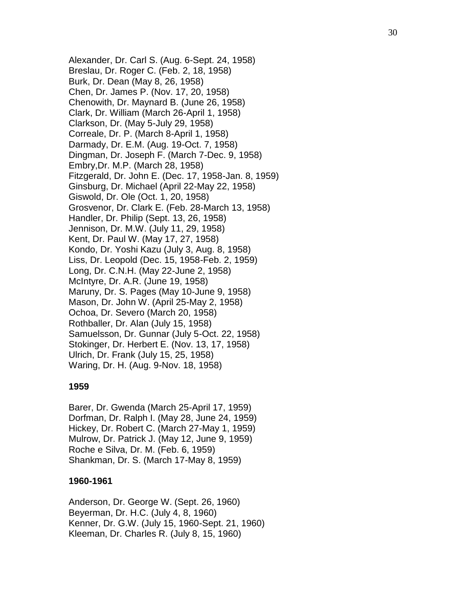Alexander, Dr. Carl S. (Aug. 6 -Sept. 24, 1958) Breslau, Dr. Roger C. (Feb. 2, 18, 1958) Burk, Dr. Dean (May 8, 26, 1958 ) Chen, Dr. James P. (Nov. 17, 20, 1958) Chenowith, Dr. Maynard B. (June 26, 1958) Clark, Dr. William (March 26 -April 1, 1958) Clarkson, Dr. (May 5 -July 29, 1958) Correale, Dr. P. (March 8 -April 1, 1958) Darmady, Dr. E.M. (Aug. 19 -Oct. 7, 1958) Dingman, Dr. Joseph F. (March 7 -Dec. 9, 1958) Embry,Dr. M.P. (March 28, 1958) Fitzgerald, Dr. John E. (Dec. 17, 1958 -Jan. 8, 1959) Ginsburg, Dr. Michael (April 22 -May 22, 1958) Giswold, Dr. Ole (Oct. 1, 20, 1958) Grosvenor, Dr. Clark E. (Feb. 28 -March 13, 1958) Handler, Dr. Philip (Sept. 13, 26, 1958) Jennison, Dr. M.W. (July 11, 29, 1958) Kent, Dr. Paul W. (May 17, 27, 1958) Kondo, Dr. Yoshi Kazu (July 3, Aug. 8, 1958) Liss, Dr. Leopold (Dec. 15, 1958 -Feb. 2, 1959) Long, Dr. C.N.H. (May 22 -June 2, 1958) McIntyre, Dr. A.R. (June 19, 1958) Maruny, Dr. S. Pages (May 10 -June 9, 1958) Mason, Dr. John W. (April 25 -May 2, 1958) Ochoa, Dr. Severo (March 20, 1958) Rothballer, Dr. Alan (July 15, 1958) Samuelsson, Dr. Gunnar (July 5 -Oct. 22, 1958) Stokinger, Dr. Herbert E. (Nov. 13, 17, 1958) Ulrich, Dr. Frank (July 15, 25, 1958) Waring, Dr. H. (Aug. 9 -Nov. 18, 1958)

### **1959**

Barer, Dr. Gwenda (March 25 -April 17, 1959) Dorfman, Dr. Ralph I. (May 28, June 24, 1959) Hickey, Dr. Robert C. (March 27 -May 1, 1959) Mulrow, Dr. Patrick J. (May 12, June 9, 1959) Roche e Silva, Dr. M. (Feb. 6, 1959) Shankman, Dr. S. (March 17 -May 8, 1959)

#### **1960 -1961**

Anderson, Dr. George W. (Sept. 26, 1960) Beyerman, Dr. H.C. (July 4, 8, 1960) Kenner, Dr. G.W. (July 15, 1960 -Sept. 21, 1960) Kleeman, Dr. Charles R. (July 8, 15, 1960)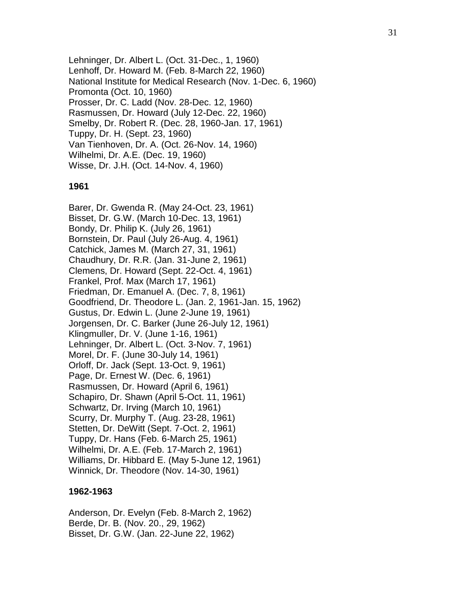Lehninger, Dr. Albert L. (Oct. 31-Dec., 1, 1960) Lenhoff, Dr. Howard M. (Feb. 8-March 22, 1960) National Institute for Medical Research (Nov. 1-Dec. 6, 1960) Promonta (Oct. 10, 1960) Prosser, Dr. C. Ladd (Nov. 28-Dec. 12, 1960) Rasmussen, Dr. Howard (July 12-Dec. 22, 1960) Smelby, Dr. Robert R. (Dec. 28, 1960-Jan. 17, 1961) Tuppy, Dr. H. (Sept. 23, 1960) Van Tienhoven, Dr. A. (Oct. 26-Nov. 14, 1960) Wilhelmi, Dr. A.E. (Dec. 19, 1960) Wisse, Dr. J.H. (Oct. 14-Nov. 4, 1960)

#### **1961**

Barer, Dr. Gwenda R. (May 24-Oct. 23, 1961) Bisset, Dr. G.W. (March 10-Dec. 13, 1961) Bondy, Dr. Philip K. (July 26, 1961) Bornstein, Dr. Paul (July 26-Aug. 4, 1961) Catchick, James M. (March 27, 31, 1961) Chaudhury, Dr. R.R. (Jan. 31-June 2, 1961) Clemens, Dr. Howard (Sept. 22-Oct. 4, 1961) Frankel, Prof. Max (March 17, 1961) Friedman, Dr. Emanuel A. (Dec. 7, 8, 1961) Goodfriend, Dr. Theodore L. (Jan. 2, 1961-Jan. 15, 1962) Gustus, Dr. Edwin L. (June 2-June 19, 1961) Jorgensen, Dr. C. Barker (June 26-July 12, 1961) Klingmuller, Dr. V. (June 1-16, 1961) Lehninger, Dr. Albert L. (Oct. 3-Nov. 7, 1961) Morel, Dr. F. (June 30-July 14, 1961) Orloff, Dr. Jack (Sept. 13-Oct. 9, 1961) Page, Dr. Ernest W. (Dec. 6, 1961) Rasmussen, Dr. Howard (April 6, 1961) Schapiro, Dr. Shawn (April 5-Oct. 11, 1961) Schwartz, Dr. Irving (March 10, 1961) Scurry, Dr. Murphy T. (Aug. 23-28, 1961) Stetten, Dr. DeWitt (Sept. 7-Oct. 2, 1961) Tuppy, Dr. Hans (Feb. 6-March 25, 1961) Wilhelmi, Dr. A.E. (Feb. 17-March 2, 1961) Williams, Dr. Hibbard E. (May 5-June 12, 1961) Winnick, Dr. Theodore (Nov. 14-30, 1961)

#### **1962-1963**

Anderson, Dr. Evelyn (Feb. 8-March 2, 1962) Berde, Dr. B. (Nov. 20., 29, 1962) Bisset, Dr. G.W. (Jan. 22-June 22, 1962)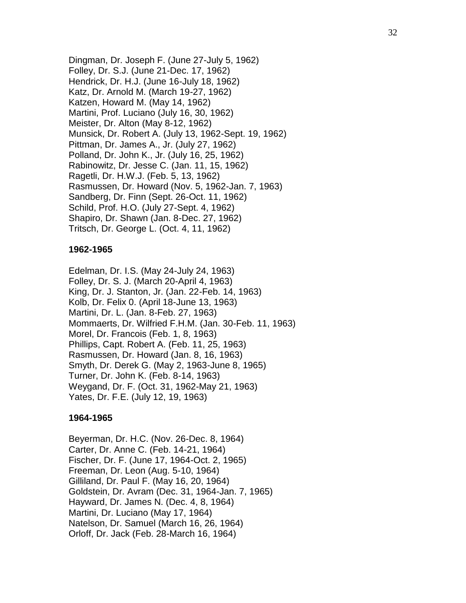Dingman, Dr. Joseph F. (June 27 -July 5, 1962) Folley, Dr. S.J. (June 21 -Dec. 17, 1962) Hendrick, Dr. H.J. (June 16 -July 18, 1962) Katz, Dr. Arnold M. (March 19 -27, 1962) Katzen, Howard M. (May 14, 1962) Martini, Prof. Luciano (July 16, 30, 1962) Meister, Dr. Alton (May 8 -12, 1962) Munsick, Dr. Robert A. (July 13, 1962 -Sept. 19, 1962) Pittman, Dr. James A., Jr. (July 27, 1962) Polland, Dr. John K., Jr. (July 16, 25, 1962) Rabinowitz, Dr. Jesse C. (Jan. 11, 15, 1962) Ragetli, Dr. H.W.J. (Feb. 5, 13, 1962) Rasmussen, Dr. Howard (Nov. 5, 1962 -Jan. 7, 1963) Sandberg, Dr. Finn (Sept. 26 -Oct. 11, 1962) Schild, Prof. H.O. (July 27 -Sept. 4, 1962) Shapiro, Dr. Shawn (Jan. 8 -Dec. 27, 1962) Tritsch, Dr. George L. (Oct. 4, 11, 1962)

### **1962 -1965**

Edelman, Dr. I.S. (May 24 - July 24, 1963) Folley, Dr. S. J. (March 20 -April 4, 1963) King, Dr. J. Stanton, Jr. (Jan. 22 -Feb. 14, 1963) Kolb, Dr. Felix 0. (April 18 -June 13, 1963) Martini, Dr. L. (Jan. 8 -Feb. 27, 1963) Mommaerts, Dr. Wilfried F.H.M. (Jan. 30 -Feb. 11, 1963) Morel, Dr. Francois (Feb. 1, 8, 1963) Phillips, Capt. Robert A. (Feb. 11, 25, 1963) Rasmussen, Dr. Howard (Jan. 8, 16, 1963) Smyth, Dr. Derek G. (May 2, 1963 -June 8, 1965) Turner, Dr. John K. (Feb. 8 -14, 1963) Weygand, Dr. F. (Oct. 31, 1962 -May 21, 1963) Yates, Dr. F.E. (July 12, 19, 1963)

#### **1964 -1965**

Beyerman, Dr. H.C. (Nov. 26 -Dec. 8, 1964) Carter, Dr. Anne C. (Feb. 14 -21, 1964) Fischer, Dr. F. (June 17, 1964 -Oct. 2, 1965) Freeman, Dr. Leon (Aug. 5 -10, 1964) Gilliland, Dr. Paul F. (May 16, 20, 1964) Goldstein, Dr. Avram (Dec. 31, 1964 -Jan. 7, 1965) Hayward, Dr. James N. (Dec. 4, 8, 1964) Martini, Dr. Luciano (May 17, 1964) Natelson, Dr. Samuel (March 16, 26, 1964) Orloff, Dr. Jack (Feb. 28 -March 16, 1964)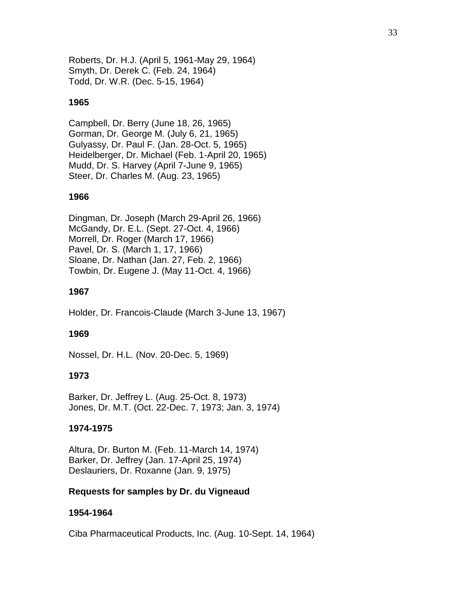Roberts, Dr. H.J. (April 5, 1961-May 29, 1964) Smyth, Dr. Derek C. (Feb. 24, 1964) Todd, Dr. W.R. (Dec. 5-15, 1964)

### **1965**

Campbell, Dr. Berry (June 18, 26, 1965) Gorman, Dr. George M. (July 6, 21, 1965) Gulyassy, Dr. Paul F. (Jan. 28-Oct. 5, 1965) Heidelberger, Dr. Michael (Feb. 1-April 20, 1965) Mudd, Dr. S. Harvey (April 7-June 9, 1965) Steer, Dr. Charles M. (Aug. 23, 1965)

### **1966**

Dingman, Dr. Joseph (March 29-April 26, 1966) McGandy, Dr. E.L. (Sept. 27-Oct. 4, 1966) Morrell, Dr. Roger (March 17, 1966) Pavel, Dr. S. (March 1, 17, 1966) Sloane, Dr. Nathan (Jan. 27, Feb. 2, 1966) Towbin, Dr. Eugene J. (May 11-Oct. 4, 1966)

### **1967**

Holder, Dr. Francois-Claude (March 3-June 13, 1967)

### **1969**

Nossel, Dr. H.L. (Nov. 20-Dec. 5, 1969)

### **1973**

Barker, Dr. Jeffrey L. (Aug. 25-Oct. 8, 1973) Jones, Dr. M.T. (Oct. 22-Dec. 7, 1973; Jan. 3, 1974)

#### **1974-1975**

Altura, Dr. Burton M. (Feb. 11-March 14, 1974) Barker, Dr. Jeffrey (Jan. 17-April 25, 1974) Deslauriers, Dr. Roxanne (Jan. 9, 1975)

### **Requests for samples by Dr. du Vigneaud**

#### **1954-1964**

Ciba Pharmaceutical Products, Inc. (Aug. 10-Sept. 14, 1964)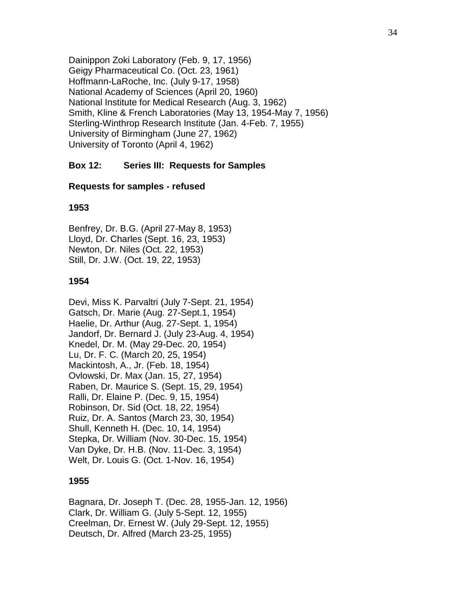Dainippon Zoki Laboratory (Feb. 9, 17, 1956) Geigy Pharmaceutical Co. (Oct. 23, 1961) Hoffmann-LaRoche, Inc. (July 9-17, 1958) National Academy of Sciences (April 20, 1960) National Institute for Medical Research (Aug. 3, 1962) Smith, Kline & French Laboratories (May 13, 1954-May 7, 1956) Sterling-Winthrop Research Institute (Jan. 4-Feb. 7, 1955) University of Birmingham (June 27, 1962) University of Toronto (April 4, 1962)

### **Box 12: Series III: Requests for Samples**

#### **Requests for samples - refused**

#### **1953**

Benfrey, Dr. B.G. (April 27-May 8, 1953) Lloyd, Dr. Charles (Sept. 16, 23, 1953) Newton, Dr. Niles (Oct. 22, 1953) Still, Dr. J.W. (Oct. 19, 22, 1953)

#### **1954**

Devi, Miss K. Parvaltri (July 7-Sept. 21, 1954) Gatsch, Dr. Marie (Aug. 27-Sept.1, 1954) Haelie, Dr. Arthur (Aug. 27-Sept. 1, 1954) Jandorf, Dr. Bernard J. (July 23-Aug. 4, 1954) Knedel, Dr. M. (May 29-Dec. 20, 1954) Lu, Dr. F. C. (March 20, 25, 1954) Mackintosh, A., Jr. (Feb. 18, 1954) Ovlowski, Dr. Max (Jan. 15, 27, 1954) Raben, Dr. Maurice S. (Sept. 15, 29, 1954) Ralli, Dr. Elaine P. (Dec. 9, 15, 1954) Robinson, Dr. Sid (Oct. 18, 22, 1954) Ruiz, Dr. A. Santos (March 23, 30, 1954) Shull, Kenneth H. (Dec. 10, 14, 1954) Stepka, Dr. William (Nov. 30-Dec. 15, 1954) Van Dyke, Dr. H.B. (Nov. 11-Dec. 3, 1954) Welt, Dr. Louis G. (Oct. 1-Nov. 16, 1954)

#### **1955**

Bagnara, Dr. Joseph T. (Dec. 28, 1955-Jan. 12, 1956) Clark, Dr. William G. (July 5-Sept. 12, 1955) Creelman, Dr. Ernest W. (July 29-Sept. 12, 1955) Deutsch, Dr. Alfred (March 23-25, 1955)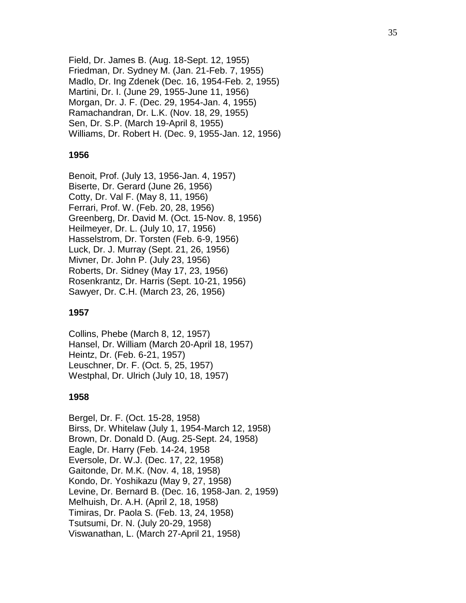Field, Dr. James B. (Aug. 18 -Sept. 12, 1955) Friedman, Dr. Sydney M. (Jan. 21 -Feb. 7, 1955) Madlo, Dr. Ing Zdenek (Dec. 16, 1954 -Feb. 2, 1955) Martini, Dr. I. (June 29, 1955 -June 11, 1956) Morgan, Dr. J. F. (Dec. 29, 1954 -Jan. 4, 1955) Ramachandran, Dr. L.K. (Nov. 18, 29, 1955) Sen, Dr. S.P. (March 19 -April 8, 1955) Williams, Dr. Robert H. (Dec. 9, 1955 -Jan. 12, 1956)

#### **1956**

Benoit, Prof. (July 13, 1956 -Jan. 4, 1957) Biserte, Dr. Gerard (June 26, 1956) Cotty, Dr. Val F. (May 8, 11, 1956) Ferrari, Prof. W. (Feb. 20, 28, 1956) Greenberg, Dr. David M. (Oct. 15 -Nov. 8, 1956) Heilmeyer, Dr. L. (July 10, 17, 1956) Hasselstrom, Dr. Torsten (Feb. 6 -9, 1956) Luck, Dr. J. Murray (Sept. 21, 26, 1956) Mivner, Dr. John P. (July 23, 1956) Roberts, Dr. Sidney (May 17, 23, 1956) Rosenkrantz, Dr. Harris (Sept. 10 -21, 1956) Sawyer, Dr. C.H. (March 23, 26, 1956)

#### **1957**

Collins, Phebe (March 8, 12, 1957) Hansel, Dr. William (March 20 -April 18, 1957) Heintz, Dr. (Feb. 6 -21, 1957) Leuschner, Dr. F. (Oct. 5, 25, 1957) Westphal, Dr. Ulrich (July 10, 18, 1957)

#### **1958**

Bergel, Dr. F. (Oct. 15 -28, 1958) Birss, Dr. Whitelaw (July 1, 1954 -March 12, 1958 ) Brown, Dr. Donald D. (Aug. 25 -Sept. 24, 1958) Eagle, Dr. Harry (Feb. 14 -24, 1958 Eversole, Dr. W.J. (Dec. 17, 22, 1958) Gaitonde, Dr. M.K. (Nov. 4, 18, 1958) Kondo, Dr. Yoshikazu (May 9, 27, 1958) Levine, Dr. Bernard B. (Dec. 16, 1958 -Jan. 2, 1959) Melhuish, Dr. A.H. (April 2, 18, 1958) Timiras, Dr. Paola S. (Feb. 13, 24, 1958) Tsutsumi, Dr. N. (July 20 -29, 1958) Viswanathan, L. (March 27 -April 21, 1958)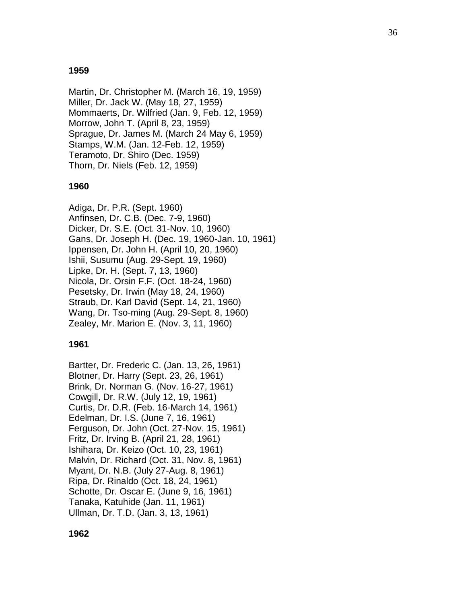### **1959**

Martin, Dr. Christopher M. (March 16, 19, 1959) Miller, Dr. Jack W. (May 18, 27, 1959) Mommaerts, Dr. Wilfried (Jan. 9, Feb. 12, 1959) Morrow, John T. (April 8, 23, 1959) Sprague, Dr. James M. (March 24 May 6, 1959) Stamps, W.M. (Jan. 12 -Feb. 12, 1959) Teramoto, Dr. Shiro (Dec. 1959) Thorn, Dr. Niels (Feb. 12, 1959)

## **1960**

Adiga, Dr. P.R. (Sept. 1960) Anfinsen, Dr. C.B. (Dec. 7 -9, 1960) Dicker, Dr. S.E. (Oct. 31 -Nov. 10, 1960) Gans, Dr. Joseph H. (Dec. 19, 1960 -Jan. 10, 1961) Ippensen, Dr. John H. (April 10, 20, 1960) Ishii, Susumu (Aug. 29 -Sept. 19, 1960) Lipke, Dr. H. (Sept. 7, 13, 1960) Nicola, Dr. Orsin F.F. (Oct. 18 -24, 1960) Pesetsky, Dr. Irwin (May 18, 24, 1960) Straub, Dr. Karl David (Sept. 14, 21, 1960) Wang, Dr. Tso - ming (Aug. 29 -Sept. 8, 1960) Zealey, Mr. Marion E. (Nov. 3, 11, 1960)

## **1961**

Bartter, Dr. Frederic C. (Jan. 13, 26, 1961) Blotner, Dr. Harry (Sept. 23, 26, 1961) Brink, Dr. Norman G. (Nov. 16 -27, 1961) Cowgill, Dr. R.W. (July 12, 19, 1961) Curtis, Dr. D.R. (Feb. 16 -March 14, 1961) Edelman, Dr. I.S. (June 7, 16, 1961) Ferguson, Dr. John (Oct. 27 -Nov. 15, 1961) Fritz, Dr. Irving B. (April 21, 28, 1961) Ishihara, Dr. Keizo (Oct. 10, 23, 1961) Malvin, Dr. Richard (Oct. 31, Nov. 8, 1961) Myant, Dr. N.B. (July 27 -Aug. 8, 1961) Ripa, Dr. Rinaldo (Oct. 18, 24, 1961) Schotte, Dr. Oscar E. (June 9, 16, 1961) Tanaka, Katuhide (Jan. 11, 1961) Ullman, Dr. T.D. (Jan. 3, 13, 1961)

36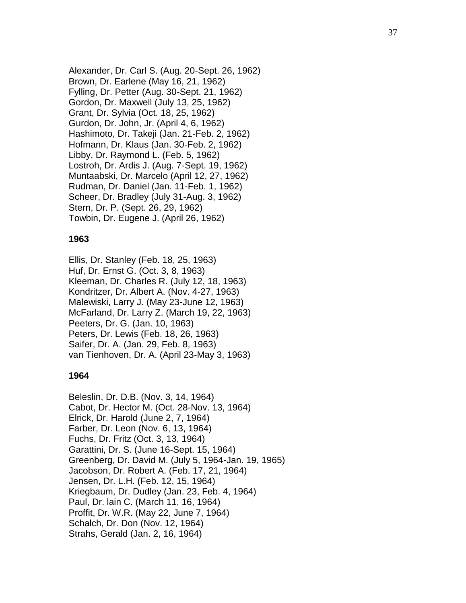Alexander, Dr. Carl S. (Aug. 20 -Sept. 26, 1962) Brown, Dr. Earlene (May 16, 21, 1962) Fylling, Dr. Petter (Aug. 30 -Sept. 21, 1962) Gordon, Dr. Maxwell (July 13, 25, 1962) Grant, Dr. Sylvia (Oct. 18, 25, 1962) Gurdon, Dr. John, Jr. (April 4, 6, 1962) Hashimoto, Dr. Takeji (Jan. 21 -Feb. 2, 1962) Hofmann, Dr. Klaus (Jan. 30 -Feb. 2, 1962) Libby, Dr. Raymond L. (Feb. 5, 1962) Lostroh, Dr. Ardis J. (Aug. 7 -Sept. 19, 1962) Muntaabski, Dr. Marcelo (April 12, 27, 1962) Rudman, Dr. Daniel (Jan. 11 -Feb. 1, 1962) Scheer, Dr. Bradley (July 31 -Aug. 3, 1962) Stern, Dr. P. (Sept. 26, 29, 1962) Towbin, Dr. Eugene J. (April 26, 1962)

#### **1963**

Ellis, Dr. Stanley (Feb. 18, 25, 1963) Huf, Dr. Ernst G. (Oct. 3, 8, 1963) Kleeman, Dr. Charles R. (July 12, 18, 1963) Kondritzer, Dr. Albert A. (Nov. 4 -27, 1963) Malewiski, Larry J. (May 23 -June 12, 1963) McFarland, Dr. Larry Z. (March 19, 22, 1963) Peeters, Dr. G. (Jan. 10, 1963) Peters, Dr. Lewis (Feb. 18, 26, 1963) Saifer, Dr. A. (Jan. 29, Feb. 8, 1963) van Tienhoven, Dr. A. (April 23 -May 3, 1963)

#### **1964**

Beleslin, Dr. D.B. (Nov. 3, 14, 1964) Cabot, Dr. Hector M. (Oct. 2 8 -Nov. 13, 1964) Elrick, Dr. Harold (June 2, 7, 1964) Farber, Dr. Leon (Nov. 6, 13, 1964) Fuchs, Dr. Fritz (Oct. 3, 13, 1964) Garattini, Dr. S. (June 16 -Sept. 15, 1964) Greenberg, Dr. David M. (July 5, 1964 -Jan. 19, 1965) Jacobson, Dr. Robert A. (Feb. 17, 21, 1964) Jensen, Dr. L.H. (Feb. 12, 15, 1964) Kriegbaum, Dr. Dudley (Jan. 23, Feb. 4, 1964) Paul, Dr. lain C. (March 11, 16, 1964) Proffit, Dr. W.R. (May 22, June 7, 1964) Schalch, Dr. Don (Nov. 12, 1964) Strahs, Gerald (Jan. 2, 16, 1964)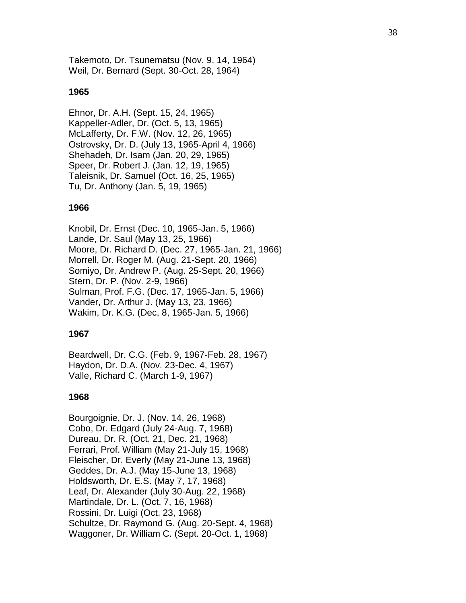Takemoto, Dr. Tsunematsu (Nov. 9, 14, 1964) Weil, Dr. Bernard (Sept. 30-Oct. 28, 1964)

### **1965**

Ehnor, Dr. A.H. (Sept. 15, 24, 1965) Kappeller-Adler, Dr. (Oct. 5, 13, 1965) McLafferty, Dr. F.W. (Nov. 12, 26, 1965) Ostrovsky, Dr. D. (July 13, 1965-April 4, 1966) Shehadeh, Dr. Isam (Jan. 20, 29, 1965) Speer, Dr. Robert J. (Jan. 12, 19, 1965) Taleisnik, Dr. Samuel (Oct. 16, 25, 1965) Tu, Dr. Anthony (Jan. 5, 19, 1965)

### **1966**

Knobil, Dr. Ernst (Dec. 10, 1965-Jan. 5, 1966) Lande, Dr. Saul (May 13, 25, 1966) Moore, Dr. Richard D. (Dec. 27, 1965-Jan. 21, 1966) Morrell, Dr. Roger M. (Aug. 21-Sept. 20, 1966) Somiyo, Dr. Andrew P. (Aug. 25-Sept. 20, 1966) Stern, Dr. P. (Nov. 2-9, 1966) Sulman, Prof. F.G. (Dec. 17, 1965-Jan. 5, 1966) Vander, Dr. Arthur J. (May 13, 23, 1966) Wakim, Dr. K.G. (Dec, 8, 1965-Jan. 5, 1966)

#### **1967**

Beardwell, Dr. C.G. (Feb. 9, 1967-Feb. 28, 1967) Haydon, Dr. D.A. (Nov. 23-Dec. 4, 1967) Valle, Richard C. (March 1-9, 1967)

#### **1968**

Bourgoignie, Dr. J. (Nov. 14, 26, 1968) Cobo, Dr. Edgard (July 24-Aug. 7, 1968) Dureau, Dr. R. (Oct. 21, Dec. 21, 1968) Ferrari, Prof. William (May 21-July 15, 1968) Fleischer, Dr. Everly (May 21-June 13, 1968) Geddes, Dr. A.J. (May 15-June 13, 1968) Holdsworth, Dr. E.S. (May 7, 17, 1968) Leaf, Dr. Alexander (July 30-Aug. 22, 1968) Martindale, Dr. L. (Oct. 7, 16, 1968) Rossini, Dr. Luigi (Oct. 23, 1968) Schultze, Dr. Raymond G. (Aug. 20-Sept. 4, 1968) Waggoner, Dr. William C. (Sept. 20-Oct. 1, 1968)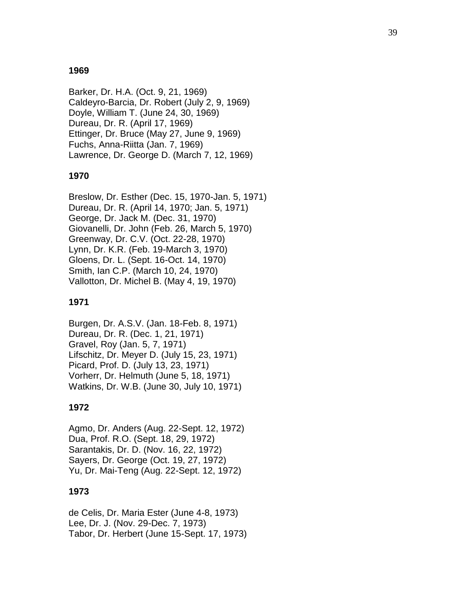### **1969**

Barker, Dr. H.A. (Oct. 9, 21, 1969) Caldeyro-Barcia, Dr. Robert (July 2, 9, 1969) Doyle, William T. (June 24, 30, 1969) Dureau, Dr. R. (April 17, 1969) Ettinger, Dr. Bruce (May 27, June 9, 1969) Fuchs, Anna-Riitta (Jan. 7, 1969) Lawrence, Dr. George D. (March 7, 12, 1969)

### **1970**

Breslow, Dr. Esther (Dec. 15, 1970-Jan. 5, 1971) Dureau, Dr. R. (April 14, 1970; Jan. 5, 1971) George, Dr. Jack M. (Dec. 31, 1970) Giovanelli, Dr. John (Feb. 26, March 5, 1970) Greenway, Dr. C.V. (Oct. 22-28, 1970) Lynn, Dr. K.R. (Feb. 19-March 3, 1970) Gloens, Dr. L. (Sept. 16-Oct. 14, 1970) Smith, Ian C.P. (March 10, 24, 1970) Vallotton, Dr. Michel B. (May 4, 19, 1970)

### **1971**

Burgen, Dr. A.S.V. (Jan. 18-Feb. 8, 1971) Dureau, Dr. R. (Dec. 1, 21, 1971) Gravel, Roy (Jan. 5, 7, 1971) Lifschitz, Dr. Meyer D. (July 15, 23, 1971) Picard, Prof. D. (July 13, 23, 1971) Vorherr, Dr. Helmuth (June 5, 18, 1971) Watkins, Dr. W.B. (June 30, July 10, 1971)

### **1972**

Agmo, Dr. Anders (Aug. 22-Sept. 12, 1972) Dua, Prof. R.O. (Sept. 18, 29, 1972) Sarantakis, Dr. D. (Nov. 16, 22, 1972) Sayers, Dr. George (Oct. 19, 27, 1972) Yu, Dr. Mai-Teng (Aug. 22-Sept. 12, 1972)

### **1973**

de Celis, Dr. Maria Ester (June 4-8, 1973) Lee, Dr. J. (Nov. 29-Dec. 7, 1973) Tabor, Dr. Herbert (June 15-Sept. 17, 1973)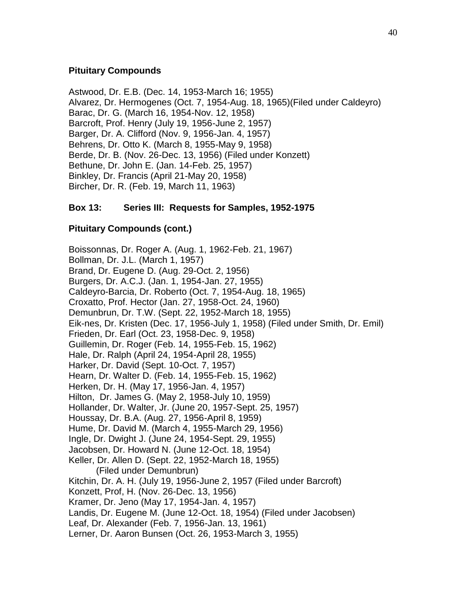### **Pituitary Compounds**

Astwood, Dr. E.B. (Dec. 14, 1953-March 16; 1955) Alvarez, Dr. Hermogenes (Oct. 7, 1954-Aug. 18, 1965)(Filed under Caldeyro) Barac, Dr. G. (March 16, 1954-Nov. 12, 1958) Barcroft, Prof. Henry (July 19, 1956-June 2, 1957) Barger, Dr. A. Clifford (Nov. 9, 1956-Jan. 4, 1957) Behrens, Dr. Otto K. (March 8, 1955-May 9, 1958) Berde, Dr. B. (Nov. 26-Dec. 13, 1956) (Filed under Konzett) Bethune, Dr. John E. (Jan. 14-Feb. 25, 1957) Binkley, Dr. Francis (April 21-May 20, 1958) Bircher, Dr. R. (Feb. 19, March 11, 1963)

## **Box 13: Series III: Requests for Samples, 1952-1975**

### **Pituitary Compounds (cont.)**

Boissonnas, Dr. Roger A. (Aug. 1, 1962-Feb. 21, 1967) Bollman, Dr. J.L. (March 1, 1957) Brand, Dr. Eugene D. (Aug. 29-Oct. 2, 1956) Burgers, Dr. A.C.J. (Jan. 1, 1954-Jan. 27, 1955) Caldeyro-Barcia, Dr. Roberto (Oct. 7, 1954-Aug. 18, 1965) Croxatto, Prof. Hector (Jan. 27, 1958-Oct. 24, 1960) Demunbrun, Dr. T.W. (Sept. 22, 1952-March 18, 1955) Eik-nes, Dr. Kristen (Dec. 17, 1956-July 1, 1958) (Filed under Smith, Dr. Emil) Frieden, Dr. Earl (Oct. 23, 1958-Dec. 9, 1958) Guillemin, Dr. Roger (Feb. 14, 1955-Feb. 15, 1962) Hale, Dr. Ralph (April 24, 1954-April 28, 1955) Harker, Dr. David (Sept. 10-Oct. 7, 1957) Hearn, Dr. Walter D. (Feb. 14, 1955-Feb. 15, 1962) Herken, Dr. H. (May 17, 1956-Jan. 4, 1957) Hilton, Dr. James G. (May 2, 1958-July 10, 1959) Hollander, Dr. Walter, Jr. (June 20, 1957-Sept. 25, 1957) Houssay, Dr. B.A. (Aug. 27, 1956-April 8, 1959) Hume, Dr. David M. (March 4, 1955-March 29, 1956) Ingle, Dr. Dwight J. (June 24, 1954-Sept. 29, 1955) Jacobsen, Dr. Howard N. (June 12-Oct. 18, 1954) Keller, Dr. Allen D. (Sept. 22, 1952-March 18, 1955) (Filed under Demunbrun) Kitchin, Dr. A. H. (July 19, 1956-June 2, 1957 (Filed under Barcroft) Konzett, Prof, H. (Nov. 26-Dec. 13, 1956) Kramer, Dr. Jeno (May 17, 1954-Jan. 4, 1957) Landis, Dr. Eugene M. (June 12-Oct. 18, 1954) (Filed under Jacobsen) Leaf, Dr. Alexander (Feb. 7, 1956-Jan. 13, 1961) Lerner, Dr. Aaron Bunsen (Oct. 26, 1953-March 3, 1955)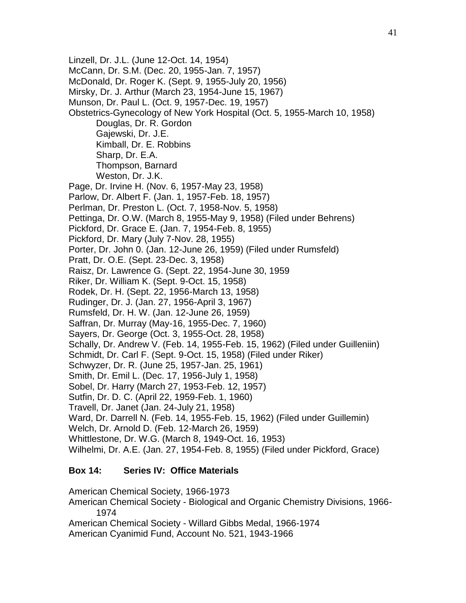Linzell, Dr. J.L. (June 12-Oct. 14, 1954) McCann, Dr. S.M. (Dec. 20, 1955-Jan. 7, 1957) McDonald, Dr. Roger K. (Sept. 9, 1955-July 20, 1956) Mirsky, Dr. J. Arthur (March 23, 1954-June 15, 1967) Munson, Dr. Paul L. (Oct. 9, 1957-Dec. 19, 1957) Obstetrics-Gynecology of New York Hospital (Oct. 5, 1955-March 10, 1958) Douglas, Dr. R. Gordon Gajewski, Dr. J.E. Kimball, Dr. E. Robbins Sharp, Dr. E.A. Thompson, Barnard Weston, Dr. J.K. Page, Dr. Irvine H. (Nov. 6, 1957-May 23, 1958) Parlow, Dr. Albert F. (Jan. 1, 1957-Feb. 18, 1957) Perlman, Dr. Preston L. (Oct. 7, 1958-Nov. 5, 1958) Pettinga, Dr. O.W. (March 8, 1955-May 9, 1958) (Filed under Behrens) Pickford, Dr. Grace E. (Jan. 7, 1954-Feb. 8, 1955) Pickford, Dr. Mary (July 7-Nov. 28, 1955) Porter, Dr. John 0. (Jan. 12-June 26, 1959) (Filed under Rumsfeld) Pratt, Dr. O.E. (Sept. 23-Dec. 3, 1958) Raisz, Dr. Lawrence G. (Sept. 22, 1954-June 30, 1959 Riker, Dr. William K. (Sept. 9-Oct. 15, 1958) Rodek, Dr. H. (Sept. 22, 1956-March 13, 1958) Rudinger, Dr. J. (Jan. 27, 1956-April 3, 1967) Rumsfeld, Dr. H. W. (Jan. 12-June 26, 1959) Saffran, Dr. Murray (May-16, 1955-Dec. 7, 1960) Sayers, Dr. George (Oct. 3, 1955-Oct. 28, 1958) Schally, Dr. Andrew V. (Feb. 14, 1955-Feb. 15, 1962) (Filed under Guilleniin) Schmidt, Dr. Carl F. (Sept. 9-Oct. 15, 1958) (Filed under Riker) Schwyzer, Dr. R. (June 25, 1957-Jan. 25, 1961) Smith, Dr. Emil L. (Dec. 17, 1956-July 1, 1958) Sobel, Dr. Harry (March 27, 1953-Feb. 12, 1957) Sutfin, Dr. D. C. (April 22, 1959-Feb. 1, 1960) Travell, Dr. Janet (Jan. 24-July 21, 1958) Ward, Dr. Darrell N. (Feb. 14, 1955-Feb. 15, 1962) (Filed under Guillemin) Welch, Dr. Arnold D. (Feb. 12-March 26, 1959) Whittlestone, Dr. W.G. (March 8, 1949-Oct. 16, 1953) Wilhelmi, Dr. A.E. (Jan. 27, 1954-Feb. 8, 1955) (Filed under Pickford, Grace) **Box 14: Series IV: Office Materials**

American Chemical Society, 1966-1973

American Chemical Society - Biological and Organic Chemistry Divisions, 1966- 1974

American Chemical Society - Willard Gibbs Medal, 1966-1974

American Cyanimid Fund, Account No. 521, 1943-1966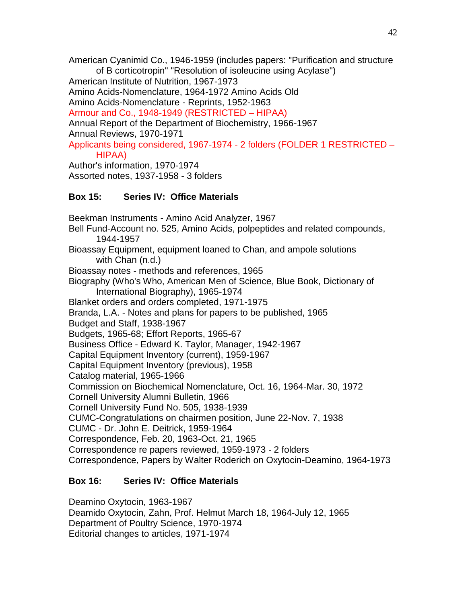American Cyanimid Co., 1946-1959 (includes papers: "Purification and structure of B corticotropin" "Resolution of isoleucine using Acylase") American Institute of Nutrition, 1967-1973 Amino Acids-Nomenclature, 1964-1972 Amino Acids Old Amino Acids-Nomenclature - Reprints, 1952-1963 Armour and Co., 1948-1949 (RESTRICTED – HIPAA) Annual Report of the Department of Biochemistry, 1966-1967 Annual Reviews, 1970-1971 Applicants being considered, 1967-1974 - 2 folders (FOLDER 1 RESTRICTED – HIPAA) Author's information, 1970-1974

Assorted notes, 1937-1958 - 3 folders

# **Box 15: Series IV: Office Materials**

Beekman Instruments - Amino Acid Analyzer, 1967 Bell Fund-Account no. 525, Amino Acids, polpeptides and related compounds, 1944-1957 Bioassay Equipment, equipment loaned to Chan, and ampole solutions with Chan (n.d.) Bioassay notes - methods and references, 1965 Biography (Who's Who, American Men of Science, Blue Book, Dictionary of International Biography), 1965-1974 Blanket orders and orders completed, 1971-1975 Branda, L.A. - Notes and plans for papers to be published, 1965 Budget and Staff, 1938-1967 Budgets, 1965-68; Effort Reports, 1965-67 Business Office - Edward K. Taylor, Manager, 1942-1967 Capital Equipment Inventory (current), 1959-1967 Capital Equipment Inventory (previous), 1958 Catalog material, 1965-1966 Commission on Biochemical Nomenclature, Oct. 16, 1964-Mar. 30, 1972 Cornell University Alumni Bulletin, 1966 Cornell University Fund No. 505, 1938-1939 CUMC-Congratulations on chairmen position, June 22-Nov. 7, 1938 CUMC - Dr. John E. Deitrick, 1959-1964 Correspondence, Feb. 20, 1963-Oct. 21, 1965 Correspondence re papers reviewed, 1959-1973 - 2 folders Correspondence, Papers by Walter Roderich on Oxytocin-Deamino, 1964-1973

# **Box 16: Series IV: Office Materials**

Deamino Oxytocin, 1963-1967 Deamido Oxytocin, Zahn, Prof. Helmut March 18, 1964-July 12, 1965 Department of Poultry Science, 1970-1974 Editorial changes to articles, 1971-1974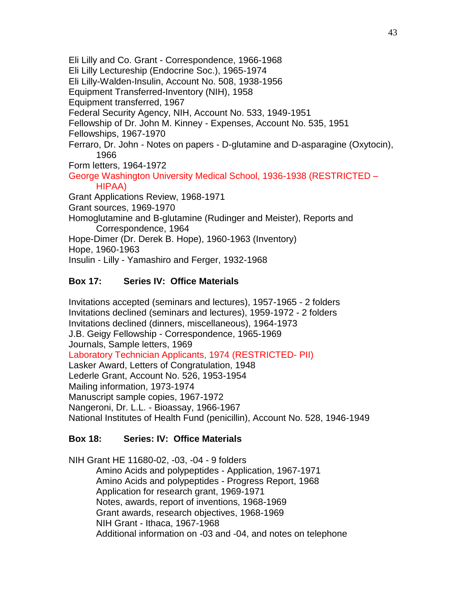Eli Lilly and Co. Grant - Correspondence, 1966-1968 Eli Lilly Lectureship (Endocrine Soc.), 1965-1974 Eli Lilly-Walden-Insulin, Account No. 508, 1938-1956 Equipment Transferred-Inventory (NIH), 1958 Equipment transferred, 1967 Federal Security Agency, NIH, Account No. 533, 1949-1951 Fellowship of Dr. John M. Kinney - Expenses, Account No. 535, 1951 Fellowships, 1967-1970 Ferraro, Dr. John - Notes on papers - D-glutamine and D-asparagine (Oxytocin), 1966 Form letters, 1964-1972 George Washington University Medical School, 1936-1938 (RESTRICTED – HIPAA) Grant Applications Review, 1968-1971 Grant sources, 1969-1970 Homoglutamine and B-glutamine (Rudinger and Meister), Reports and Correspondence, 1964 Hope-Dimer (Dr. Derek B. Hope), 1960-1963 (Inventory) Hope, 1960-1963 Insulin - Lilly - Yamashiro and Ferger, 1932-1968

# **Box 17: Series IV: Office Materials**

Invitations accepted (seminars and lectures), 1957-1965 - 2 folders Invitations declined (seminars and lectures), 1959-1972 - 2 folders Invitations declined (dinners, miscellaneous), 1964-1973 J.B. Geigy Fellowship - Correspondence, 1965-1969 Journals, Sample letters, 1969 Laboratory Technician Applicants, 1974 (RESTRICTED- PII) Lasker Award, Letters of Congratulation, 1948 Lederle Grant, Account No. 526, 1953-1954 Mailing information, 1973-1974 Manuscript sample copies, 1967-1972 Nangeroni, Dr. L.L. - Bioassay, 1966-1967 National Institutes of Health Fund (penicillin), Account No. 528, 1946-1949

# **Box 18: Series: IV: Office Materials**

NIH Grant HE 11680-02, -03, -04 - 9 folders Amino Acids and polypeptides - Application, 1967-1971 Amino Acids and polypeptides - Progress Report, 1968 Application for research grant, 1969-1971 Notes, awards, report of inventions, 1968-1969 Grant awards, research objectives, 1968-1969 NIH Grant - Ithaca, 1967-1968 Additional information on -03 and -04, and notes on telephone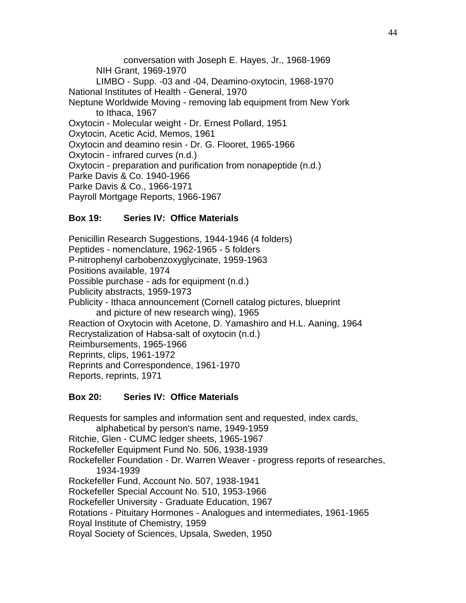conversation with Joseph E. Hayes, Jr., 1968-1969 NIH Grant, 1969-1970 LIMBO - Supp. -03 and -04, Deamino-oxytocin, 1968-1970 National Institutes of Health - General, 1970 Neptune Worldwide Moving - removing lab equipment from New York to Ithaca, 1967 Oxytocin - Molecular weight - Dr. Ernest Pollard, 1951 Oxytocin, Acetic Acid, Memos, 1961 Oxytocin and deamino resin - Dr. G. Flooret, 1965-1966 Oxytocin - infrared curves (n.d.) Oxytocin - preparation and purification from nonapeptide (n.d.) Parke Davis & Co. 1940-1966 Parke Davis & Co., 1966-1971 Payroll Mortgage Reports, 1966-1967

## **Box 19: Series IV: Office Materials**

Penicillin Research Suggestions, 1944-1946 (4 folders) Peptides - nomenclature, 1962-1965 - 5 folders P-nitrophenyl carbobenzoxyglycinate, 1959-1963 Positions available, 1974 Possible purchase - ads for equipment (n.d.) Publicity abstracts, 1959-1973 Publicity - Ithaca announcement (Cornell catalog pictures, blueprint and picture of new research wing), 1965 Reaction of Oxytocin with Acetone, D. Yamashiro and H.L. Aaning, 1964 Recrystalization of Habsa-salt of oxytocin (n.d.) Reimbursements, 1965-1966 Reprints, clips, 1961-1972 Reprints and Correspondence, 1961-1970 Reports, reprints, 1971

## **Box 20: Series IV: Office Materials**

Requests for samples and information sent and requested, index cards, alphabetical by person's name, 1949-1959 Ritchie, Glen - CUMC ledger sheets, 1965-1967 Rockefeller Equipment Fund No. 506, 1938-1939 Rockefeller Foundation - Dr. Warren Weaver - progress reports of researches, 1934-1939 Rockefeller Fund, Account No. 507, 1938-1941 Rockefeller Special Account No. 510, 1953-1966 Rockefeller University - Graduate Education, 1967 Rotations - Pituitary Hormones - Analogues and intermediates, 1961-1965 Royal Institute of Chemistry, 1959 Royal Society of Sciences, Upsala, Sweden, 1950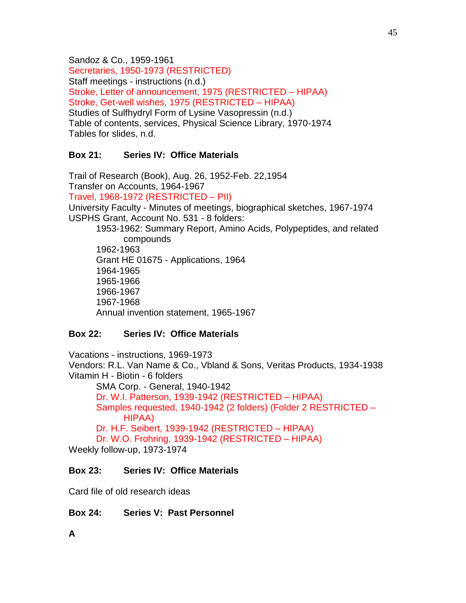Sandoz & Co., 1959-1961 Secretaries, 1950-1973 (RESTRICTED) Staff meetings - instructions (n.d.) Stroke, Letter of announcement, 1975 (RESTRICTED – HIPAA) Stroke, Get-well wishes, 1975 (RESTRICTED – HIPAA) Studies of Sulfhydryl Form of Lysine Vasopressin (n.d.) Table of contents, services, Physical Science Library, 1970-1974 Tables for slides, n.d.

## **Box 21: Series IV: Office Materials**

Trail of Research (Book), Aug. 26, 1952-Feb. 22,1954 Transfer on Accounts, 1964-1967 Travel, 1968-1972 (RESTRICTED – PII) University Faculty - Minutes of meetings, biographical sketches, 1967-1974 USPHS Grant, Account No. 531 - 8 folders: 1953-1962: Summary Report, Amino Acids, Polypeptides, and related compounds 1962-1963 Grant HE 01675 - Applications, 1964 1964-1965 1965-1966 1966-1967 1967-1968

Annual invention statement, 1965-1967

## **Box 22: Series IV: Office Materials**

Vacations - instructions, 1969-1973 Vendors: R.L. Van Name & Co., Vbland & Sons, Veritas Products, 1934-1938 Vitamin H - Biotin - 6 folders SMA Corp. - General, 1940-1942 Dr. W.I. Patterson, 1939-1942 (RESTRICTED – HIPAA) Samples requested, 1940-1942 (2 folders) (Folder 2 RESTRICTED – HIPAA) Dr. H.F. Seibert, 1939-1942 (RESTRICTED – HIPAA) Dr. W.O. Frohring, 1939-1942 (RESTRICTED – HIPAA) Weekly follow-up, 1973-1974

## **Box 23: Series IV: Office Materials**

Card file of old research ideas

**Box 24: Series V: Past Personnel** 

**A**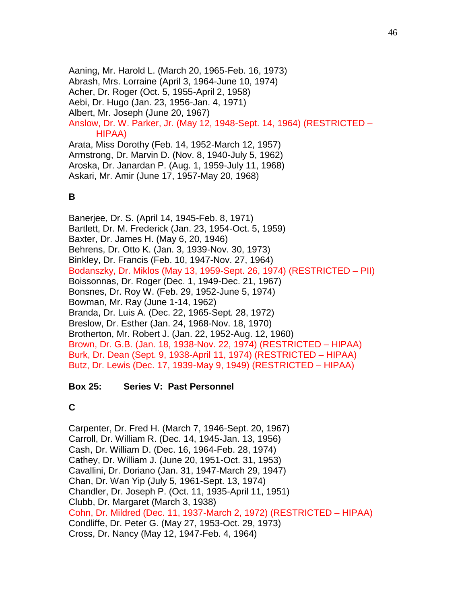Aaning, Mr. Harold L. (March 20, 1965-Feb. 16, 1973) Abrash, Mrs. Lorraine (April 3, 1964-June 10, 1974) Acher, Dr. Roger (Oct. 5, 1955-April 2, 1958) Aebi, Dr. Hugo (Jan. 23, 1956-Jan. 4, 1971) Albert, Mr. Joseph (June 20, 1967) Anslow, Dr. W. Parker, Jr. (May 12, 1948-Sept. 14, 1964) (RESTRICTED – HIPAA) Arata, Miss Dorothy (Feb. 14, 1952-March 12, 1957) Armstrong, Dr. Marvin D. (Nov. 8, 1940-July 5, 1962) Aroska, Dr. Janardan P. (Aug. 1, 1959-July 11, 1968) Askari, Mr. Amir (June 17, 1957-May 20, 1968)

## **B**

Banerjee, Dr. S. (April 14, 1945-Feb. 8, 1971) Bartlett, Dr. M. Frederick (Jan. 23, 1954-Oct. 5, 1959) Baxter, Dr. James H. (May 6, 20, 1946) Behrens, Dr. Otto K. (Jan. 3, 1939-Nov. 30, 1973) Binkley, Dr. Francis (Feb. 10, 1947-Nov. 27, 1964) Bodanszky, Dr. Miklos (May 13, 1959-Sept. 26, 1974) (RESTRICTED – PII) Boissonnas, Dr. Roger (Dec. 1, 1949-Dec. 21, 1967) Bonsnes, Dr. Roy W. (Feb. 29, 1952-June 5, 1974) Bowman, Mr. Ray (June 1-14, 1962) Branda, Dr. Luis A. (Dec. 22, 1965-Sept. 28, 1972) Breslow, Dr. Esther (Jan. 24, 1968-Nov. 18, 1970) Brotherton, Mr. Robert J. (Jan. 22, 1952-Aug. 12, 1960) Brown, Dr. G.B. (Jan. 18, 1938-Nov. 22, 1974) (RESTRICTED – HIPAA) Burk, Dr. Dean (Sept. 9, 1938-April 11, 1974) (RESTRICTED – HIPAA) Butz, Dr. Lewis (Dec. 17, 1939-May 9, 1949) (RESTRICTED – HIPAA)

## **Box 25: Series V: Past Personnel**

# **C**

Carpenter, Dr. Fred H. (March 7, 1946-Sept. 20, 1967) Carroll, Dr. William R. (Dec. 14, 1945-Jan. 13, 1956) Cash, Dr. William D. (Dec. 16, 1964-Feb. 28, 1974) Cathey, Dr. William J. (June 20, 1951-Oct. 31, 1953) Cavallini, Dr. Doriano (Jan. 31, 1947-March 29, 1947) Chan, Dr. Wan Yip (July 5, 1961-Sept. 13, 1974) Chandler, Dr. Joseph P. (Oct. 11, 1935-April 11, 1951) Clubb, Dr. Margaret (March 3, 1938) Cohn, Dr. Mildred (Dec. 11, 1937-March 2, 1972) (RESTRICTED – HIPAA) Condliffe, Dr. Peter G. (May 27, 1953-Oct. 29, 1973) Cross, Dr. Nancy (May 12, 1947-Feb. 4, 1964)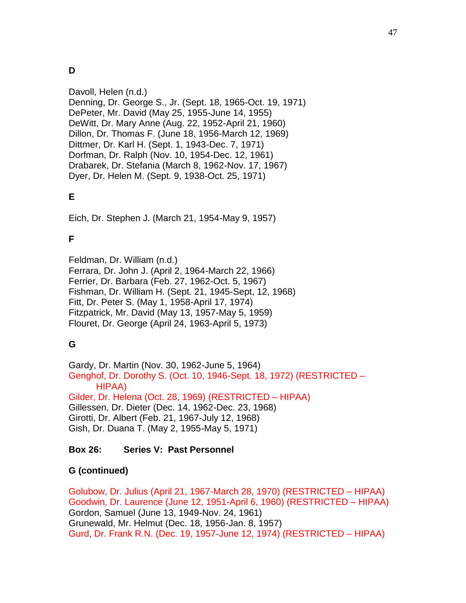# **D**

Davoll, Helen (n.d.) Denning, Dr. George S., Jr. (Sept. 18, 1965-Oct. 19, 1971) DePeter, Mr. David (May 25, 1955-June 14, 1955) DeWitt, Dr. Mary Anne (Aug. 22, 1952-April 21, 1960) Dillon, Dr. Thomas F. (June 18, 1956-March 12, 1969) Dittmer, Dr. Karl H. (Sept. 1, 1943-Dec. 7, 1971) Dorfman, Dr. Ralph (Nov. 10, 1954-Dec. 12, 1961) Drabarek, Dr. Stefania (March 8, 1962-Nov. 17, 1967) Dyer, Dr. Helen M. (Sept. 9, 1938-Oct. 25, 1971)

# **E**

Eich, Dr. Stephen J. (March 21, 1954-May 9, 1957)

# **F**

Feldman, Dr. William (n.d.) Ferrara, Dr. John J. (April 2, 1964-March 22, 1966) Ferrier, Dr. Barbara (Feb. 27, 1962-Oct. 5, 1967) Fishman, Dr. William H. (Sept. 21, 1945-Sept, 12, 1968) Fitt, Dr. Peter S. (May 1, 1958-April 17, 1974) Fitzpatrick, Mr. David (May 13, 1957-May 5, 1959) Flouret, Dr. George (April 24, 1963-April 5, 1973)

# **G**

Gardy, Dr. Martin (Nov. 30, 1962-June 5, 1964) Genghof, Dr. Dorothy S. (Oct. 10, 1946-Sept. 18, 1972) (RESTRICTED – HIPAA) Gilder, Dr. Helena (Oct. 28, 1969) (RESTRICTED – HIPAA) Gillessen, Dr. Dieter (Dec. 14, 1962-Dec. 23, 1968) Girotti, Dr. Albert (Feb. 21, 1967-July 12, 1968) Gish, Dr. Duana T. (May 2, 1955-May 5, 1971)

# **Box 26: Series V: Past Personnel**

## **G (continued)**

Golubow, Dr. Julius (April 21, 1967-March 28, 1970) (RESTRICTED – HIPAA) Goodwin, Dr. Laurence (June 12, 1951-April 6, 1960) (RESTRICTED – HIPAA) Gordon, Samuel (June 13, 1949-Nov. 24, 1961) Grunewald, Mr. Helmut (Dec. 18, 1956-Jan. 8, 1957) Gurd, Dr. Frank R.N. (Dec. 19, 1957-June 12, 1974) (RESTRICTED – HIPAA)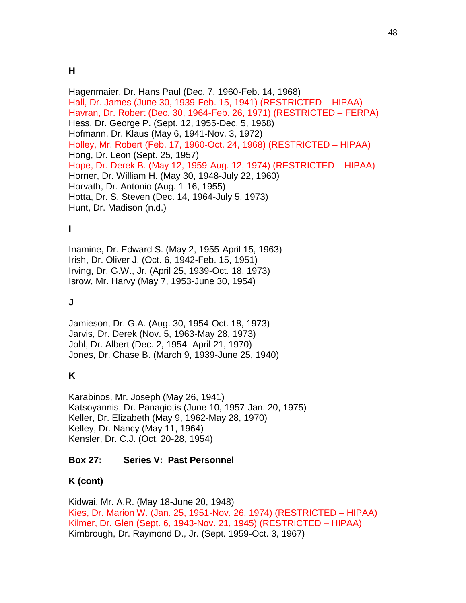Hagenmaier, Dr. Hans Paul (Dec. 7, 1960-Feb. 14, 1968) Hall, Dr. James (June 30, 1939-Feb. 15, 1941) (RESTRICTED – HIPAA) Havran, Dr. Robert (Dec. 30, 1964-Feb. 26, 1971) (RESTRICTED – FERPA) Hess, Dr. George P. (Sept. 12, 1955-Dec. 5, 1968) Hofmann, Dr. Klaus (May 6, 1941-Nov. 3, 1972) Holley, Mr. Robert (Feb. 17, 1960-Oct. 24, 1968) (RESTRICTED – HIPAA) Hong, Dr. Leon (Sept. 25, 1957) Hope, Dr. Derek B. (May 12, 1959-Aug. 12, 1974) (RESTRICTED – HIPAA) Horner, Dr. William H. (May 30, 1948-July 22, 1960) Horvath, Dr. Antonio (Aug. 1-16, 1955) Hotta, Dr. S. Steven (Dec. 14, 1964-July 5, 1973) Hunt, Dr. Madison (n.d.)

# **I**

Inamine, Dr. Edward S. (May 2, 1955-April 15, 1963) Irish, Dr. Oliver J. (Oct. 6, 1942-Feb. 15, 1951) Irving, Dr. G.W., Jr. (April 25, 1939-Oct. 18, 1973) Isrow, Mr. Harvy (May 7, 1953-June 30, 1954)

# **J**

Jamieson, Dr. G.A. (Aug. 30, 1954-Oct. 18, 1973) Jarvis, Dr. Derek (Nov. 5, 1963-May 28, 1973) Johl, Dr. Albert (Dec. 2, 1954- April 21, 1970) Jones, Dr. Chase B. (March 9, 1939-June 25, 1940)

# **K**

Karabinos, Mr. Joseph (May 26, 1941) Katsoyannis, Dr. Panagiotis (June 10, 1957-Jan. 20, 1975) Keller, Dr. Elizabeth (May 9, 1962-May 28, 1970) Kelley, Dr. Nancy (May 11, 1964) Kensler, Dr. C.J. (Oct. 20-28, 1954)

## **Box 27: Series V: Past Personnel**

# **K (cont)**

Kidwai, Mr. A.R. (May 18-June 20, 1948) Kies, Dr. Marion W. (Jan. 25, 1951-Nov. 26, 1974) (RESTRICTED – HIPAA) Kilmer, Dr. Glen (Sept. 6, 1943-Nov. 21, 1945) (RESTRICTED – HIPAA) Kimbrough, Dr. Raymond D., Jr. (Sept. 1959-Oct. 3, 1967)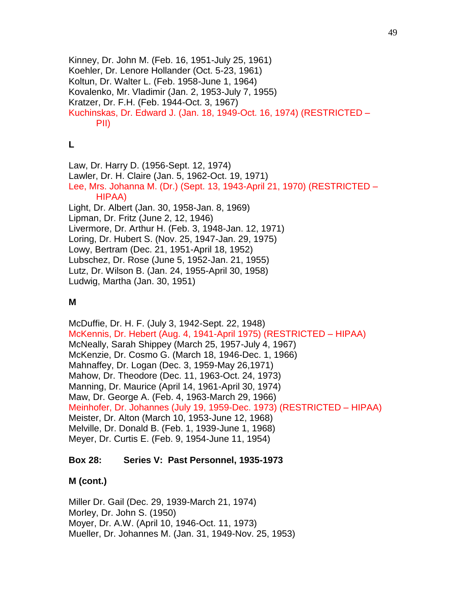Kinney, Dr. John M. (Feb. 16, 1951-July 25, 1961) Koehler, Dr. Lenore Hollander (Oct. 5-23, 1961) Koltun, Dr. Walter L. (Feb. 1958-June 1, 1964) Kovalenko, Mr. Vladimir (Jan. 2, 1953-July 7, 1955) Kratzer, Dr. F.H. (Feb. 1944-Oct. 3, 1967) Kuchinskas, Dr. Edward J. (Jan. 18, 1949-Oct. 16, 1974) (RESTRICTED – PII)

## **L**

Law, Dr. Harry D. (1956-Sept. 12, 1974) Lawler, Dr. H. Claire (Jan. 5, 1962-Oct. 19, 1971) Lee, Mrs. Johanna M. (Dr.) (Sept. 13, 1943-April 21, 1970) (RESTRICTED – HIPAA) Light, Dr. Albert (Jan. 30, 1958-Jan. 8, 1969) Lipman, Dr. Fritz (June 2, 12, 1946) Livermore, Dr. Arthur H. (Feb. 3, 1948-Jan. 12, 1971) Loring, Dr. Hubert S. (Nov. 25, 1947-Jan. 29, 1975) Lowy, Bertram (Dec. 21, 1951-April 18, 1952) Lubschez, Dr. Rose (June 5, 1952-Jan. 21, 1955) Lutz, Dr. Wilson B. (Jan. 24, 1955-April 30, 1958) Ludwig, Martha (Jan. 30, 1951)

## **M**

McDuffie, Dr. H. F. (July 3, 1942-Sept. 22, 1948) McKennis, Dr. Hebert (Aug. 4, 1941-April 1975) (RESTRICTED – HIPAA) McNeally, Sarah Shippey (March 25, 1957-July 4, 1967) McKenzie, Dr. Cosmo G. (March 18, 1946-Dec. 1, 1966) Mahnaffey, Dr. Logan (Dec. 3, 1959-May 26,1971) Mahow, Dr. Theodore (Dec. 11, 1963-Oct. 24, 1973) Manning, Dr. Maurice (April 14, 1961-April 30, 1974) Maw, Dr. George A. (Feb. 4, 1963-March 29, 1966) Meinhofer, Dr. Johannes (July 19, 1959-Dec. 1973) (RESTRICTED – HIPAA) Meister, Dr. Alton (March 10, 1953-June 12, 1968) Melville, Dr. Donald B. (Feb. 1, 1939-June 1, 1968) Meyer, Dr. Curtis E. (Feb. 9, 1954-June 11, 1954)

### **Box 28: Series V: Past Personnel, 1935-1973**

# **M (cont.)**

Miller Dr. Gail (Dec. 29, 1939-March 21, 1974) Morley, Dr. John S. (1950) Moyer, Dr. A.W. (April 10, 1946-Oct. 11, 1973) Mueller, Dr. Johannes M. (Jan. 31, 1949-Nov. 25, 1953)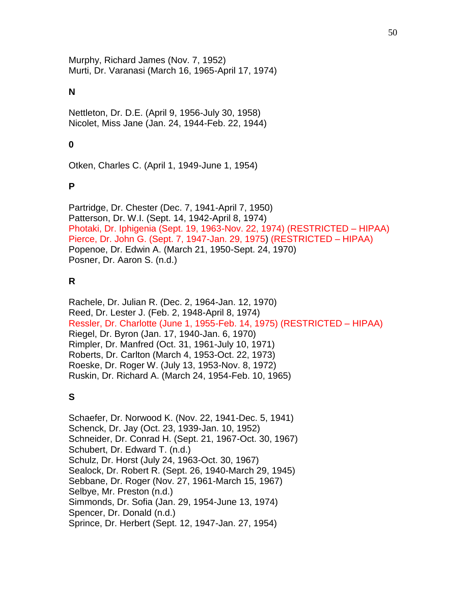Murphy, Richard James (Nov. 7, 1952) Murti, Dr. Varanasi (March 16, 1965-April 17, 1974)

## **N**

Nettleton, Dr. D.E. (April 9, 1956-July 30, 1958) Nicolet, Miss Jane (Jan. 24, 1944-Feb. 22, 1944)

# **0**

Otken, Charles C. (April 1, 1949-June 1, 1954)

## **P**

Partridge, Dr. Chester (Dec. 7, 1941-April 7, 1950) Patterson, Dr. W.I. (Sept. 14, 1942-April 8, 1974) Photaki, Dr. Iphigenia (Sept. 19, 1963-Nov. 22, 1974) (RESTRICTED – HIPAA) Pierce, Dr. John G. (Sept. 7, 1947-Jan. 29, 1975) (RESTRICTED – HIPAA) Popenoe, Dr. Edwin A. (March 21, 1950-Sept. 24, 1970) Posner, Dr. Aaron S. (n.d.)

## **R**

Rachele, Dr. Julian R. (Dec. 2, 1964-Jan. 12, 1970) Reed, Dr. Lester J. (Feb. 2, 1948-April 8, 1974) Ressler, Dr. Charlotte (June 1, 1955-Feb. 14, 1975) (RESTRICTED – HIPAA) Riegel, Dr. Byron (Jan. 17, 1940-Jan. 6, 1970) Rimpler, Dr. Manfred (Oct. 31, 1961-July 10, 1971) Roberts, Dr. Carlton (March 4, 1953-Oct. 22, 1973) Roeske, Dr. Roger W. (July 13, 1953-Nov. 8, 1972) Ruskin, Dr. Richard A. (March 24, 1954-Feb. 10, 1965)

# **S**

Schaefer, Dr. Norwood K. (Nov. 22, 1941-Dec. 5, 1941) Schenck, Dr. Jay (Oct. 23, 1939-Jan. 10, 1952) Schneider, Dr. Conrad H. (Sept. 21, 1967-Oct. 30, 1967) Schubert, Dr. Edward T. (n.d.) Schulz, Dr. Horst (July 24, 1963-Oct. 30, 1967) Sealock, Dr. Robert R. (Sept. 26, 1940-March 29, 1945) Sebbane, Dr. Roger (Nov. 27, 1961-March 15, 1967) Selbye, Mr. Preston (n.d.) Simmonds, Dr. Sofia (Jan. 29, 1954-June 13, 1974) Spencer, Dr. Donald (n.d.) Sprince, Dr. Herbert (Sept. 12, 1947-Jan. 27, 1954)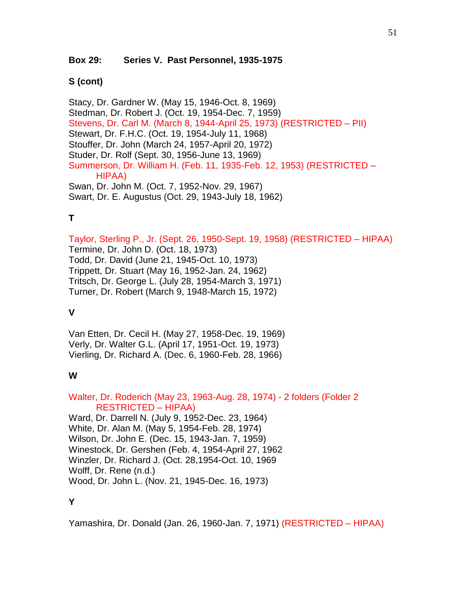### **Box 29: Series V. Past Personnel, 1935-1975**

### **S (cont)**

Stacy, Dr. Gardner W. (May 15, 1946-Oct. 8, 1969) Stedman, Dr. Robert J. (Oct. 19, 1954-Dec. 7, 1959) Stevens, Dr. Carl M. (March 8, 1944-April 25, 1973) (RESTRICTED – PII) Stewart, Dr. F.H.C. (Oct. 19, 1954-July 11, 1968) Stouffer, Dr. John (March 24, 1957-April 20, 1972) Studer, Dr. Rolf (Sept. 30, 1956-June 13, 1969) Summerson, Dr. William H. (Feb. 11, 1935-Feb. 12, 1953) (RESTRICTED – HIPAA) Swan, Dr. John M. (Oct. 7, 1952-Nov. 29, 1967) Swart, Dr. E. Augustus (Oct. 29, 1943-July 18, 1962)

# **T**

Taylor, Sterling P., Jr. (Sept. 26, 1950-Sept. 19, 1958) (RESTRICTED – HIPAA) Termine, Dr. John D. (Oct. 18, 1973) Todd, Dr. David (June 21, 1945-Oct. 10, 1973) Trippett, Dr. Stuart (May 16, 1952-Jan. 24, 1962) Tritsch, Dr. George L. (July 28, 1954-March 3, 1971) Turner, Dr. Robert (March 9, 1948-March 15, 1972)

## **V**

Van Etten, Dr. Cecil H. (May 27, 1958-Dec. 19, 1969) Verly, Dr. Walter G.L. (April 17, 1951-Oct. 19, 1973) Vierling, Dr. Richard A. (Dec. 6, 1960-Feb. 28, 1966)

## **W**

Walter, Dr. Roderich (May 23, 1963-Aug. 28, 1974) - 2 folders (Folder 2 RESTRICTED – HIPAA)

Ward, Dr. Darrell N. (July 9, 1952-Dec. 23, 1964) White, Dr. Alan M. (May 5, 1954-Feb. 28, 1974) Wilson, Dr. John E. (Dec. 15, 1943-Jan. 7, 1959) Winestock, Dr. Gershen (Feb. 4, 1954-April 27, 1962 Winzler, Dr. Richard J. (Oct. 28,1954-Oct. 10, 1969 Wolff, Dr. Rene (n.d.) Wood, Dr. John L. (Nov. 21, 1945-Dec. 16, 1973)

# **Y**

Yamashira, Dr. Donald (Jan. 26, 1960-Jan. 7, 1971) (RESTRICTED – HIPAA)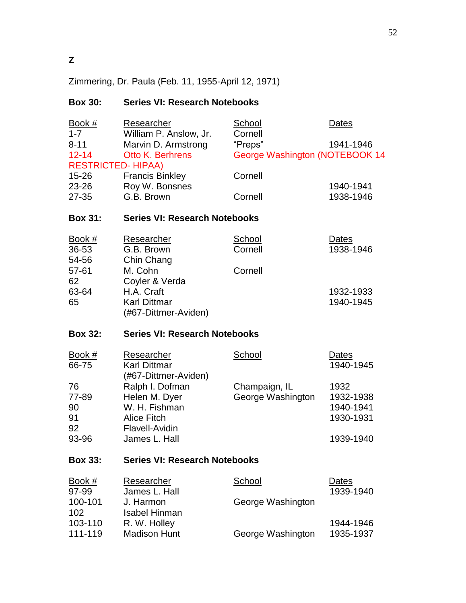Zimmering, Dr. Paula (Feb. 11, 1955-April 12, 1971)

# **Box 30: Series VI: Research Notebooks**

| Book $#$<br>$1 - 7$<br>$8 - 11$<br>$12 - 14$            | <b>Researcher</b><br>William P. Anslow, Jr.<br>Marvin D. Armstrong<br><b>Otto K. Berhrens</b>              | <b>School</b><br>Cornell<br>"Preps"<br>George Washington (NOTEBOOK 14 | Dates<br>1941-1946                                       |
|---------------------------------------------------------|------------------------------------------------------------------------------------------------------------|-----------------------------------------------------------------------|----------------------------------------------------------|
| <b>RESTRICTED-HIPAA)</b><br>15-26<br>23-26<br>$27 - 35$ | <b>Francis Binkley</b><br>Roy W. Bonsnes<br>G.B. Brown                                                     | Cornell<br>Cornell                                                    | 1940-1941<br>1938-1946                                   |
| <b>Box 31:</b>                                          | <b>Series VI: Research Notebooks</b>                                                                       |                                                                       |                                                          |
| Book $#$<br>36-53<br>54-56<br>57-61<br>62               | Researcher<br>G.B. Brown<br>Chin Chang<br>M. Cohn<br>Coyler & Verda                                        | <b>School</b><br>Cornell<br>Cornell                                   | Dates<br>1938-1946                                       |
| 63-64<br>65                                             | H.A. Craft<br><b>Karl Dittmar</b><br>(#67-Dittmer-Aviden)                                                  |                                                                       | 1932-1933<br>1940-1945                                   |
| <b>Box 32:</b>                                          | <b>Series VI: Research Notebooks</b>                                                                       |                                                                       |                                                          |
| Book #<br>66-75                                         | Researcher<br><b>Karl Dittmar</b><br>(#67-Dittmer-Aviden)                                                  | <b>School</b>                                                         | Dates<br>1940-1945                                       |
| 76<br>77-89<br>90<br>91<br>92<br>93-96                  | Ralph I. Dofman<br>Helen M. Dyer<br>W. H. Fishman<br><b>Alice Fitch</b><br>Flavell-Avidin<br>James L. Hall | Champaign, IL<br>George Washington                                    | 1932<br>1932-1938<br>1940-1941<br>1930-1931<br>1939-1940 |
| <b>Box 33:</b>                                          | <b>Series VI: Research Notebooks</b>                                                                       |                                                                       |                                                          |
| Book #<br>97-99<br>100-101                              | Researcher<br>James L. Hall<br>J. Harmon                                                                   | School<br>George Washington                                           | Dates<br>1939-1940                                       |
| 102<br>103-110<br>111-119                               | <b>Isabel Hinman</b><br>R. W. Holley<br><b>Madison Hunt</b>                                                | George Washington                                                     | 1944-1946<br>1935-1937                                   |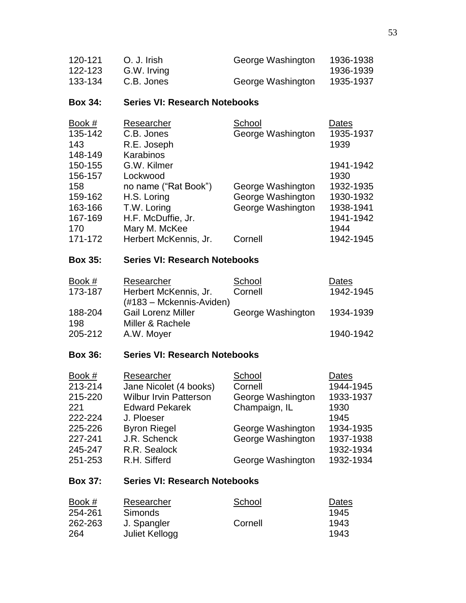| 120-121 | O. J. Irish | George Washington | 1936-1938 |
|---------|-------------|-------------------|-----------|
| 122-123 | G.W. Irving |                   | 1936-1939 |
| 133-134 | C.B. Jones  | George Washington | 1935-1937 |

## **Box 34: Series VI: Research Notebooks**

| Book #  | Researcher            | School            | Dates     |
|---------|-----------------------|-------------------|-----------|
| 135-142 | C.B. Jones            | George Washington | 1935-1937 |
| 143     | R.E. Joseph           |                   | 1939      |
| 148-149 | Karabinos             |                   |           |
| 150-155 | G.W. Kilmer           |                   | 1941-1942 |
| 156-157 | Lockwood              |                   | 1930      |
| 158     | no name ("Rat Book")  | George Washington | 1932-1935 |
| 159-162 | H.S. Loring           | George Washington | 1930-1932 |
| 163-166 | T.W. Loring           | George Washington | 1938-1941 |
| 167-169 | H.F. McDuffie, Jr.    |                   | 1941-1942 |
| 170     | Mary M. McKee         |                   | 1944      |
| 171-172 | Herbert McKennis, Jr. | Cornell           | 1942-1945 |

# **Box 35: Series VI: Research Notebooks**

| Book #         | Researcher                                        | School            | Dates     |
|----------------|---------------------------------------------------|-------------------|-----------|
| 173-187        | Herbert McKennis, Jr.<br>(#183 – Mckennis-Aviden) | Cornell           | 1942-1945 |
| 188-204<br>198 | <b>Gail Lorenz Miller</b><br>Miller & Rachele     | George Washington | 1934-1939 |
| 205-212        | A.W. Moyer                                        |                   | 1940-1942 |

# **Box 36: Series VI: Research Notebooks**

| Book #  | Researcher                    | School            | Dates     |
|---------|-------------------------------|-------------------|-----------|
| 213-214 | Jane Nicolet (4 books)        | Cornell           | 1944-1945 |
| 215-220 | <b>Wilbur Irvin Patterson</b> | George Washington | 1933-1937 |
| 221     | <b>Edward Pekarek</b>         | Champaign, IL     | 1930      |
| 222-224 | J. Ploeser                    |                   | 1945      |
| 225-226 | <b>Byron Riegel</b>           | George Washington | 1934-1935 |
| 227-241 | J.R. Schenck                  | George Washington | 1937-1938 |
| 245-247 | R.R. Sealock                  |                   | 1932-1934 |
| 251-253 | R.H. Sifferd                  | George Washington | 1932-1934 |

# **Box 37: Series VI: Research Notebooks**

| <u>Book #</u> | Researcher     | School  | Dates |
|---------------|----------------|---------|-------|
| 254-261       | <b>Simonds</b> |         | 1945  |
| 262-263       | J. Spangler    | Cornell | 1943  |
| 264           | Juliet Kellogg |         | 1943  |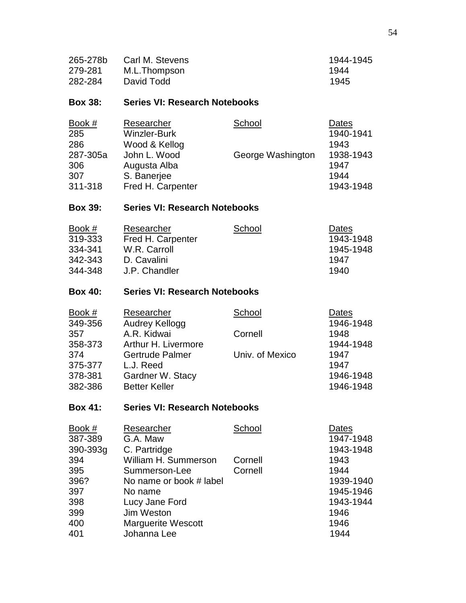| 265-278b | Carl M. Stevens | 1944-1945 |
|----------|-----------------|-----------|
| 279-281  | M.L.Thompson    | 1944      |
| 282-284  | David Todd      | 1945      |

## **Box 38: Series VI: Research Notebooks**

| Book #   | Researcher          | School            | Dates     |
|----------|---------------------|-------------------|-----------|
| 285      | <b>Winzler-Burk</b> |                   | 1940-1941 |
| 286      | Wood & Kellog       |                   | 1943      |
| 287-305a | John L. Wood        | George Washington | 1938-1943 |
| 306      | Augusta Alba        |                   | 1947      |
| 307      | S. Banerjee         |                   | 1944      |
| 311-318  | Fred H. Carpenter   |                   | 1943-1948 |

# **Box 39: Series VI: Research Notebooks**

| Book $#$ | Researcher        | School | Dates     |
|----------|-------------------|--------|-----------|
| 319-333  | Fred H. Carpenter |        | 1943-1948 |
| 334-341  | W.R. Carroll      |        | 1945-1948 |
| 342-343  | D. Cavalini       |        | 1947      |
| 344-348  | J.P. Chandler     |        | 1940      |

# **Box 40: Series VI: Research Notebooks**

| Book #  | Researcher             | School          | Dates     |
|---------|------------------------|-----------------|-----------|
| 349-356 | <b>Audrey Kellogg</b>  |                 | 1946-1948 |
| 357     | A.R. Kidwai            | Cornell         | 1948      |
| 358-373 | Arthur H. Livermore    |                 | 1944-1948 |
| 374     | <b>Gertrude Palmer</b> | Univ. of Mexico | 1947      |
| 375-377 | L.J. Reed              |                 | 1947      |
| 378-381 | Gardner W. Stacy       |                 | 1946-1948 |
| 382-386 | <b>Better Keller</b>   |                 | 1946-1948 |

# **Box 41: Series VI: Research Notebooks**

| Researcher                | School  | Dates     |
|---------------------------|---------|-----------|
| G.A. Maw                  |         | 1947-1948 |
| C. Partridge              |         | 1943-1948 |
| William H. Summerson      | Cornell | 1943      |
| Summerson-Lee             | Cornell | 1944      |
| No name or book # label   |         | 1939-1940 |
| No name                   |         | 1945-1946 |
| Lucy Jane Ford            |         | 1943-1944 |
| Jim Weston                |         | 1946      |
| <b>Marguerite Wescott</b> |         | 1946      |
| Johanna Lee               |         | 1944      |
|                           |         |           |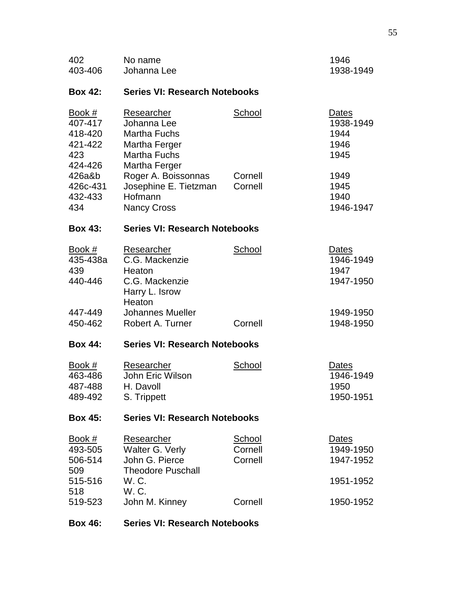| 402<br>403-406                                            | No name<br>Johanna Lee                                                                                    |                                     | 1946<br>1938-1949                          |
|-----------------------------------------------------------|-----------------------------------------------------------------------------------------------------------|-------------------------------------|--------------------------------------------|
| <b>Box 42:</b>                                            | <b>Series VI: Research Notebooks</b>                                                                      |                                     |                                            |
| Book #<br>407-417<br>418-420<br>421-422<br>423<br>424-426 | Researcher<br>Johanna Lee<br><b>Martha Fuchs</b><br>Martha Ferger<br><b>Martha Fuchs</b><br>Martha Ferger | School                              | Dates<br>1938-1949<br>1944<br>1946<br>1945 |
| 426a&b<br>426c-431<br>432-433<br>434                      | Roger A. Boissonnas<br>Josephine E. Tietzman<br>Hofmann<br><b>Nancy Cross</b>                             | Cornell<br>Cornell                  | 1949<br>1945<br>1940<br>1946-1947          |
| <b>Box 43:</b>                                            | <b>Series VI: Research Notebooks</b>                                                                      |                                     |                                            |
| <u>Book #</u><br>435-438a<br>439<br>440-446               | Researcher<br>C.G. Mackenzie<br>Heaton<br>C.G. Mackenzie<br>Harry L. Isrow<br>Heaton                      | School                              | Dates<br>1946-1949<br>1947<br>1947-1950    |
| 447-449<br>450-462                                        | <b>Johannes Mueller</b><br>Robert A. Turner                                                               | Cornell                             | 1949-1950<br>1948-1950                     |
| <b>Box 44:</b>                                            | <b>Series VI: Research Notebooks</b>                                                                      |                                     |                                            |
| Book #<br>463-486<br>487-488<br>489-492                   | Researcher<br>John Eric Wilson<br>H. Davoll<br>S. Trippett                                                | School                              | Dates<br>1946-1949<br>1950<br>1950-1951    |
| <b>Box 45:</b>                                            | <b>Series VI: Research Notebooks</b>                                                                      |                                     |                                            |
| <u>Book #</u><br>493-505<br>506-514<br>509                | Researcher<br>Walter G. Verly<br>John G. Pierce<br><b>Theodore Puschall</b>                               | <b>School</b><br>Cornell<br>Cornell | Dates<br>1949-1950<br>1947-1952            |
| 515-516<br>518                                            | W.C.<br>W.C.                                                                                              |                                     | 1951-1952                                  |
| 519-523                                                   | John M. Kinney                                                                                            | Cornell                             | 1950-1952                                  |
| <b>Box 46:</b>                                            | <b>Series VI: Research Notebooks</b>                                                                      |                                     |                                            |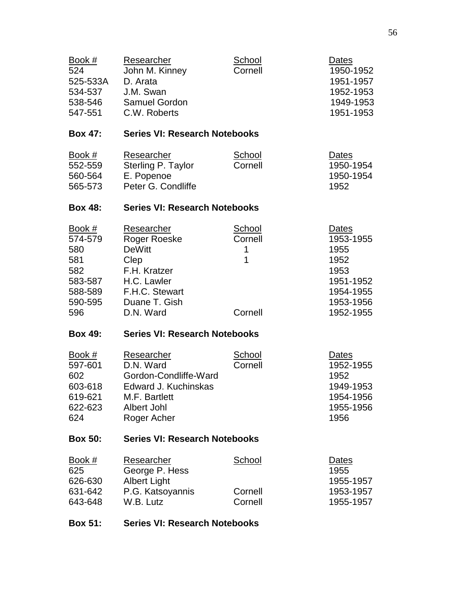| Book #<br>524<br>525-533A<br>534-537<br>538-546<br>547-551                | <b>Researcher</b><br>John M. Kinney<br>D. Arata<br>J.M. Swan<br>Samuel Gordon<br>C.W. Roberts                           | School<br>Cornell                   | Dates<br>1950-1952<br>1951-1957<br>1952-1953<br>1949-1953<br>1951-1953                   |
|---------------------------------------------------------------------------|-------------------------------------------------------------------------------------------------------------------------|-------------------------------------|------------------------------------------------------------------------------------------|
| <b>Box 47:</b>                                                            | <b>Series VI: Research Notebooks</b>                                                                                    |                                     |                                                                                          |
| Book #<br>552-559<br>560-564<br>565-573                                   | Researcher<br>Sterling P. Taylor<br>E. Popenoe<br>Peter G. Condliffe                                                    | <b>School</b><br>Cornell            | Dates<br>1950-1954<br>1950-1954<br>1952                                                  |
| <b>Box 48:</b>                                                            | <b>Series VI: Research Notebooks</b>                                                                                    |                                     |                                                                                          |
| Book $#$<br>574-579<br>580<br>581<br>582<br>583-587<br>588-589<br>590-595 | Researcher<br>Roger Roeske<br><b>DeWitt</b><br>Clep<br>F.H. Kratzer<br>H.C. Lawler<br>F.H.C. Stewart<br>Duane T. Gish   | School<br>Cornell<br>1<br>1         | <b>Dates</b><br>1953-1955<br>1955<br>1952<br>1953<br>1951-1952<br>1954-1955<br>1953-1956 |
| 596                                                                       | D.N. Ward                                                                                                               | Cornell                             | 1952-1955                                                                                |
| <b>Box 49:</b>                                                            | <b>Series VI: Research Notebooks</b>                                                                                    |                                     |                                                                                          |
| Book $#$<br>597-601<br>602<br>603-618<br>619-621<br>622-623<br>624        | Researcher<br>D.N. Ward<br>Gordon-Condliffe-Ward<br>Edward J. Kuchinskas<br>M.F. Bartlett<br>Albert Johl<br>Roger Acher | <b>School</b><br>Cornell            | Dates<br>1952-1955<br>1952<br>1949-1953<br>1954-1956<br>1955-1956<br>1956                |
| <b>Box 50:</b>                                                            | <b>Series VI: Research Notebooks</b>                                                                                    |                                     |                                                                                          |
| Book #<br>625<br>626-630<br>631-642<br>643-648                            | Researcher<br>George P. Hess<br><b>Albert Light</b><br>P.G. Katsoyannis<br>W.B. Lutz                                    | <b>School</b><br>Cornell<br>Cornell | Dates<br>1955<br>1955-1957<br>1953-1957<br>1955-1957                                     |
| <b>Box 51:</b>                                                            | <b>Series VI: Research Notebooks</b>                                                                                    |                                     |                                                                                          |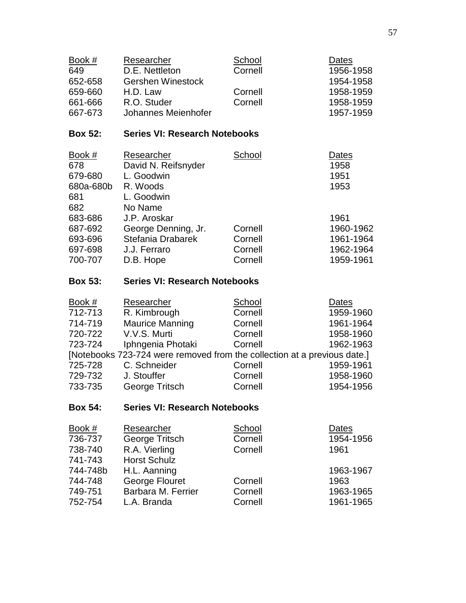| Book #<br>649<br>652-658<br>659-660<br>661-666<br>667-673 | Researcher<br>D.E. Nettleton<br><b>Gershen Winestock</b><br>H.D. Law<br>R.O. Studer<br>Johannes Meienhofer | School<br>Cornell<br>Cornell<br>Cornell | Dates<br>1956-1958<br>1954-1958<br>1958-1959<br>1958-1959<br>1957-1959 |
|-----------------------------------------------------------|------------------------------------------------------------------------------------------------------------|-----------------------------------------|------------------------------------------------------------------------|
| <b>Box 52:</b>                                            | <b>Series VI: Research Notebooks</b>                                                                       |                                         |                                                                        |
| Book #<br>678<br>679-680<br>680a-680b<br>681<br>682       | Researcher<br>David N. Reifsnyder<br>L. Goodwin<br>R. Woods<br>L. Goodwin<br>No Name                       | School                                  | Dates<br>1958<br>1951<br>1953                                          |
| 683-686                                                   | J.P. Aroskar                                                                                               |                                         | 1961                                                                   |
| 687-692                                                   | George Denning, Jr.                                                                                        | Cornell                                 | 1960-1962                                                              |
| 693-696                                                   | Stefania Drabarek                                                                                          | Cornell                                 | 1961-1964                                                              |
| 697-698                                                   | J.J. Ferraro                                                                                               | Cornell                                 | 1962-1964                                                              |
| 700-707                                                   | D.B. Hope                                                                                                  | Cornell                                 | 1959-1961                                                              |

# **Box 53: Series VI: Research Notebooks**

| Book #  | Researcher                                                               | School  | Dates     |
|---------|--------------------------------------------------------------------------|---------|-----------|
| 712-713 | R. Kimbrough                                                             | Cornell | 1959-1960 |
| 714-719 | <b>Maurice Manning</b>                                                   | Cornell | 1961-1964 |
| 720-722 | V.V.S. Murti                                                             | Cornell | 1958-1960 |
| 723-724 | Iphngenia Photaki                                                        | Cornell | 1962-1963 |
|         | [Notebooks 723-724 were removed from the collection at a previous date.] |         |           |
| 725-728 | C. Schneider                                                             | Cornell | 1959-1961 |
| 729-732 | J. Stouffer                                                              | Cornell | 1958-1960 |
| 733-735 | George Tritsch                                                           | Cornell | 1954-1956 |

# **Box 54: Series VI: Research Notebooks**

| Book #   | Researcher          | School  | Dates     |
|----------|---------------------|---------|-----------|
| 736-737  | George Tritsch      | Cornell | 1954-1956 |
| 738-740  | R.A. Vierling       | Cornell | 1961      |
| 741-743  | <b>Horst Schulz</b> |         |           |
| 744-748b | H.L. Aanning        |         | 1963-1967 |
| 744-748  | George Flouret      | Cornell | 1963      |
| 749-751  | Barbara M. Ferrier  | Cornell | 1963-1965 |
| 752-754  | L.A. Branda         | Cornell | 1961-1965 |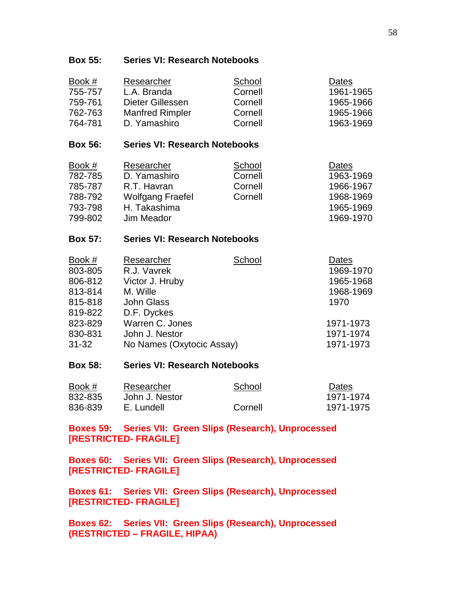### **Box 55: Series VI: Research Notebooks**

| Book #  | Researcher             | School  | Dates     |
|---------|------------------------|---------|-----------|
| 755-757 | L.A. Branda            | Cornell | 1961-1965 |
| 759-761 | Dieter Gillessen       | Cornell | 1965-1966 |
| 762-763 | <b>Manfred Rimpler</b> | Cornell | 1965-1966 |
| 764-781 | D. Yamashiro           | Cornell | 1963-1969 |

### **Box 56: Series VI: Research Notebooks**

| Book $#$ | Researcher              | School  | Dates     |
|----------|-------------------------|---------|-----------|
| 782-785  | D. Yamashiro            | Cornell | 1963-1969 |
| 785-787  | R.T. Havran             | Cornell | 1966-1967 |
| 788-792  | <b>Wolfgang Fraefel</b> | Cornell | 1968-1969 |
| 793-798  | H. Takashima            |         | 1965-1969 |
| 799-802  | Jim Meador              |         | 1969-1970 |

### **Box 57: Series VI: Research Notebooks**

| Book #    | Researcher                | School | Dates     |
|-----------|---------------------------|--------|-----------|
| 803-805   | R.J. Vavrek               |        | 1969-1970 |
| 806-812   | Victor J. Hruby           |        | 1965-1968 |
| 813-814   | M. Wille                  |        | 1968-1969 |
| 815-818   | <b>John Glass</b>         |        | 1970      |
| 819-822   | D.F. Dyckes               |        |           |
| 823-829   | Warren C. Jones           |        | 1971-1973 |
| 830-831   | John J. Nestor            |        | 1971-1974 |
| $31 - 32$ | No Names (Oxytocic Assay) |        | 1971-1973 |

#### **Box 58: Series VI: Research Notebooks**

| Book #  | Researcher     | School  | Dates     |
|---------|----------------|---------|-----------|
| 832-835 | John J. Nestor |         | 1971-1974 |
| 836-839 | E. Lundell     | Cornell | 1971-1975 |

**Boxes 59: Series VII: Green Slips (Research), Unprocessed [RESTRICTED- FRAGILE]**

**Boxes 60: Series VII: Green Slips (Research), Unprocessed [RESTRICTED- FRAGILE]**

**Boxes 61: Series VII: Green Slips (Research), Unprocessed [RESTRICTED- FRAGILE]**

**Boxes 62: Series VII: Green Slips (Research), Unprocessed (RESTRICTED – FRAGILE, HIPAA)**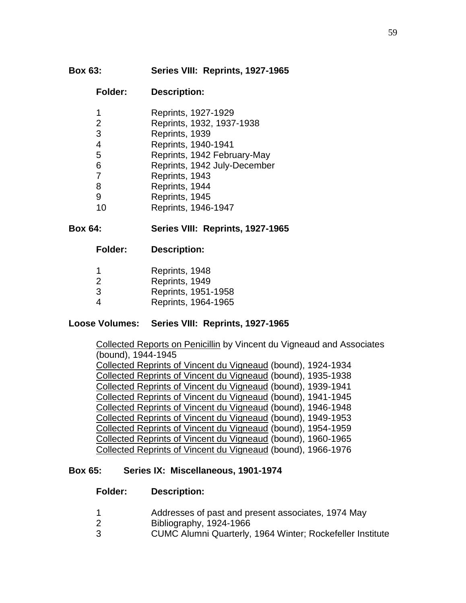## **Box 63: Series VIII: Reprints, 1927-1965**

### **Folder: Description:**

| 1              | Reprints, 1927-1929          |
|----------------|------------------------------|
| 2              | Reprints, 1932, 1937-1938    |
| 3              | Reprints, 1939               |
| $\overline{4}$ | Reprints, 1940-1941          |
| 5              | Reprints, 1942 February-May  |
| 6              | Reprints, 1942 July-December |
| 7              | Reprints, 1943               |
| 8              | Reprints, 1944               |
| 9              | Reprints, 1945               |
| 10             | Reprints, 1946-1947          |

## **Box 64: Series VIII: Reprints, 1927-1965**

**Folder: Description:**

| -1 | Reprints, 1948 |                     |
|----|----------------|---------------------|
| 2  | Reprints, 1949 |                     |
| 3  |                | Reprints, 1951-1958 |
| 4  |                | Reprints, 1964-1965 |

## **Loose Volumes: Series VIII: Reprints, 1927-1965**

Collected Reports on Penicillin by Vincent du Vigneaud and Associates (bound), 1944-1945 Collected Reprints of Vincent du Vigneaud (bound), 1924-1934 Collected Reprints of Vincent du Vigneaud (bound), 1935-1938 Collected Reprints of Vincent du Vigneaud (bound), 1939-1941 Collected Reprints of Vincent du Vigneaud (bound), 1941-1945 Collected Reprints of Vincent du Vigneaud (bound), 1946-1948 Collected Reprints of Vincent du Vigneaud (bound), 1949-1953 Collected Reprints of Vincent du Vigneaud (bound), 1954-1959 Collected Reprints of Vincent du Vigneaud (bound), 1960-1965 Collected Reprints of Vincent du Vigneaud (bound), 1966-1976

### **Box 65: Series IX: Miscellaneous, 1901-1974**

### **Folder: Description:**

- 1 Addresses of past and present associates, 1974 May
- 2 Bibliography, 1924-1966
- 3 CUMC Alumni Quarterly, 1964 Winter; Rockefeller Institute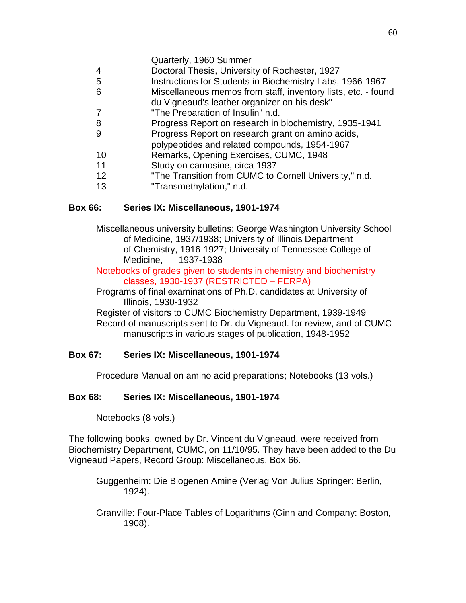- Quarterly, 1960 Summer
- 4 Doctoral Thesis, University of Rochester, 1927
- 5 Instructions for Students in Biochemistry Labs, 1966-1967
- 6 Miscellaneous memos from staff, inventory lists, etc. found
	- du Vigneaud's leather organizer on his desk"
- 7 "The Preparation of Insulin" n.d.
- 8 Progress Report on research in biochemistry, 1935-1941
- 9 Progress Report on research grant on amino acids,
- polypeptides and related compounds, 1954-1967
- 10 Remarks, Opening Exercises, CUMC, 1948
- 11 Study on carnosine, circa 1937
- 12 "The Transition from CUMC to Cornell University," n.d.
- 13 "Transmethylation," n.d.

## **Box 66: Series IX: Miscellaneous, 1901-1974**

Miscellaneous university bulletins: George Washington University School of Medicine, 1937/1938; University of Illinois Department of Chemistry, 1916-1927; University of Tennessee College of Medicine, 1937-1938

Notebooks of grades given to students in chemistry and biochemistry classes, 1930-1937 (RESTRICTED – FERPA)

Programs of final examinations of Ph.D. candidates at University of Illinois, 1930-1932

Register of visitors to CUMC Biochemistry Department, 1939-1949 Record of manuscripts sent to Dr. du Vigneaud. for review, and of CUMC manuscripts in various stages of publication, 1948-1952

# **Box 67: Series IX: Miscellaneous, 1901-1974**

Procedure Manual on amino acid preparations; Notebooks (13 vols.)

# **Box 68: Series IX: Miscellaneous, 1901-1974**

Notebooks (8 vols.)

The following books, owned by Dr. Vincent du Vigneaud, were received from Biochemistry Department, CUMC, on 11/10/95. They have been added to the Du Vigneaud Papers, Record Group: Miscellaneous, Box 66.

Guggenheim: Die Biogenen Amine (Verlag Von Julius Springer: Berlin, 1924).

Granville: Four-Place Tables of Logarithms (Ginn and Company: Boston, 1908).